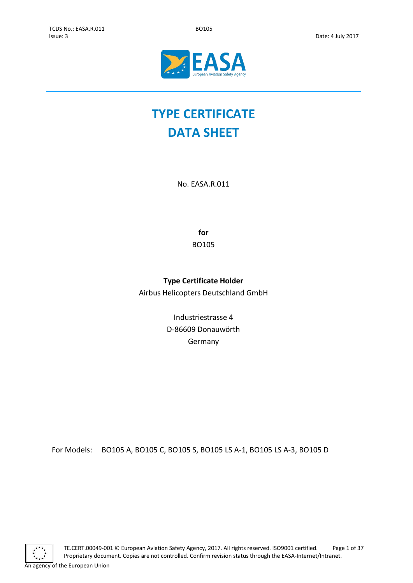

# **TYPE CERTIFICATE DATA SHEET**

No. EASA.R.011

**for** BO105

## **Type Certificate Holder**

Airbus Helicopters Deutschland GmbH

Industriestrasse 4 D-86609 Donauwörth Germany

For Models: BO105 A, BO105 C, BO105 S, BO105 LS A-1, BO105 LS A-3, BO105 D

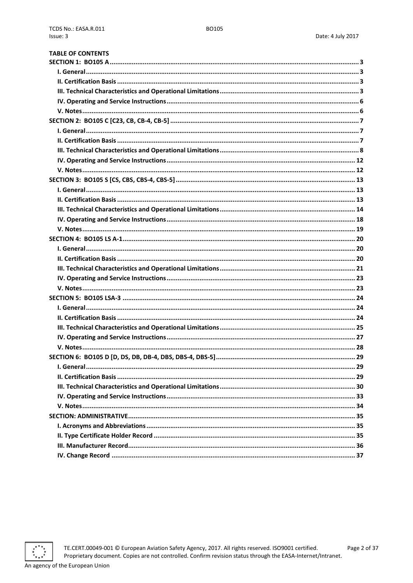| <b>TABLE OF CONTENTS</b> |  |
|--------------------------|--|
|                          |  |
|                          |  |
|                          |  |
|                          |  |
|                          |  |
|                          |  |
|                          |  |
|                          |  |
|                          |  |
|                          |  |
|                          |  |
|                          |  |
|                          |  |
|                          |  |
|                          |  |
|                          |  |
|                          |  |
|                          |  |
|                          |  |
|                          |  |
|                          |  |
|                          |  |
|                          |  |
|                          |  |
|                          |  |
|                          |  |
|                          |  |
|                          |  |
|                          |  |
|                          |  |
|                          |  |
|                          |  |
|                          |  |
|                          |  |
|                          |  |
|                          |  |
|                          |  |
|                          |  |
|                          |  |
|                          |  |
|                          |  |

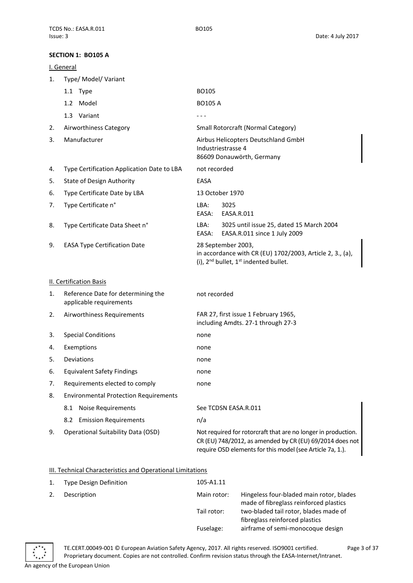## <span id="page-2-0"></span>**SECTION 1: BO105 A**

<span id="page-2-1"></span>

|    | SECTION 1: BO105 A                                            |                                                                                                                                                                                        |
|----|---------------------------------------------------------------|----------------------------------------------------------------------------------------------------------------------------------------------------------------------------------------|
|    | I. General                                                    |                                                                                                                                                                                        |
| 1. | Type/ Model/ Variant                                          |                                                                                                                                                                                        |
|    | 1.1 Type                                                      | BO105                                                                                                                                                                                  |
|    | 1.2 Model                                                     | <b>BO105 A</b>                                                                                                                                                                         |
|    | 1.3 Variant                                                   | - - -                                                                                                                                                                                  |
| 2. | Airworthiness Category                                        | Small Rotorcraft (Normal Category)                                                                                                                                                     |
| 3. | Manufacturer                                                  | Airbus Helicopters Deutschland GmbH<br>Industriestrasse 4<br>86609 Donauwörth, Germany                                                                                                 |
| 4. | Type Certification Application Date to LBA                    | not recorded                                                                                                                                                                           |
| 5. | <b>State of Design Authority</b>                              | EASA                                                                                                                                                                                   |
| 6. | Type Certificate Date by LBA                                  | 13 October 1970                                                                                                                                                                        |
| 7. | Type Certificate n°                                           | LBA:<br>3025<br>EASA.R.011<br>EASA:                                                                                                                                                    |
| 8. | Type Certificate Data Sheet n°                                | LBA:<br>3025 until issue 25, dated 15 March 2004<br>EASA:<br>EASA.R.011 since 1 July 2009                                                                                              |
| 9. | <b>EASA Type Certification Date</b>                           | 28 September 2003,<br>in accordance with CR (EU) 1702/2003, Article 2, 3., (a),<br>(i), $2^{nd}$ bullet, $1^{st}$ indented bullet.                                                     |
|    | <b>II. Certification Basis</b>                                |                                                                                                                                                                                        |
| 1. | Reference Date for determining the<br>applicable requirements | not recorded                                                                                                                                                                           |
| 2. | Airworthiness Requirements                                    | FAR 27, first issue 1 February 1965,<br>including Amdts. 27-1 through 27-3                                                                                                             |
| 3. | <b>Special Conditions</b>                                     | none                                                                                                                                                                                   |
| 4. | Exemptions                                                    | none                                                                                                                                                                                   |
| 5. | Deviations                                                    | none                                                                                                                                                                                   |
| 6. | <b>Equivalent Safety Findings</b>                             | none                                                                                                                                                                                   |
| 7. | Requirements elected to comply                                | none                                                                                                                                                                                   |
| 8. | <b>Environmental Protection Requirements</b>                  |                                                                                                                                                                                        |
|    | <b>Noise Requirements</b><br>8.1                              | See TCDSN EASA.R.011                                                                                                                                                                   |
|    | 8.2 Emission Requirements                                     | n/a                                                                                                                                                                                    |
| 9. | Operational Suitability Data (OSD)                            | Not required for rotorcraft that are no longer in production.<br>CR (EU) 748/2012, as amended by CR (EU) 69/2014 does not<br>require OSD elements for this model (see Article 7a, 1.). |
|    |                                                               |                                                                                                                                                                                        |

## <span id="page-2-3"></span><span id="page-2-2"></span>III. Technical Characteristics and Operational Limitations

| Type Design Definition | 105-A1.11   |                                                                                    |
|------------------------|-------------|------------------------------------------------------------------------------------|
| Description            | Main rotor: | Hingeless four-bladed main rotor, blades<br>made of fibreglass reinforced plastics |
|                        | Tail rotor: | two-bladed tail rotor, blades made of<br>fibreglass reinforced plastics            |
|                        | Fuselage:   | airframe of semi-monocoque design                                                  |

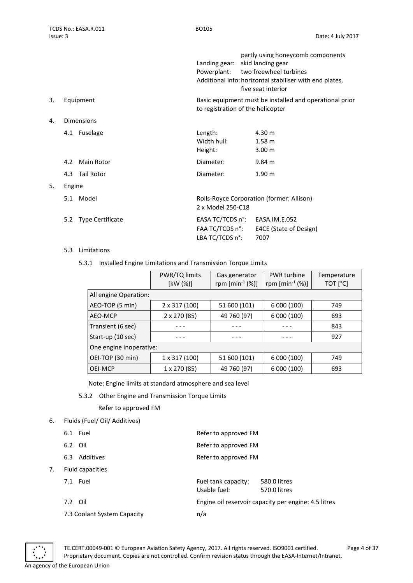|                |                          | Landing gear:                     | partly using honeycomb components<br>skid landing gear<br>Powerplant: two freewheel turbines<br>Additional info: horizontal stabiliser with end plates,<br>five seat interior |
|----------------|--------------------------|-----------------------------------|-------------------------------------------------------------------------------------------------------------------------------------------------------------------------------|
| 3.             | Equipment                |                                   | Basic equipment must be installed and operational prior<br>to registration of the helicopter                                                                                  |
| $\mathbf{4}$ . | Dimensions               |                                   |                                                                                                                                                                               |
|                | Fuselage<br>4.1          | Length:<br>Width hull:<br>Height: | 4.30 m<br>1.58 <sub>m</sub><br>3.00 m                                                                                                                                         |
|                | Main Rotor<br>4.2        | Diameter:                         | $9.84 \text{ m}$                                                                                                                                                              |
|                | <b>Tail Rotor</b><br>4.3 | Diameter:                         | 1.90 <sub>m</sub>                                                                                                                                                             |
| -              | For a firm of            |                                   |                                                                                                                                                                               |

5. Engine 5.1 Model Rolls-Royce Corporation (former: Allison) 2 x Model 250-C18 5.2 Type Certificate EASA TC/TCDS n°: EASA.IM.E.052 FAA TC/TCDS n°: E4CE (State of Design) LBA TC/TCDS n°: 7007

- 5.3 Limitations
	- 5.3.1 Installed Engine Limitations and Transmission Torque Limits

|                         | PWR/TQ limits<br>[kW (%)] | Gas generator<br>rpm $[{\rm min}^{-1} (%)]$ | PWR turbine<br>rpm $[{\rm min}^{-1} (%)]$ | Temperature<br>TOT [°C] |
|-------------------------|---------------------------|---------------------------------------------|-------------------------------------------|-------------------------|
|                         | All engine Operation:     |                                             |                                           |                         |
| AEO-TOP (5 min)         | 2 x 317 (100)             | 51 600 (101)                                | 6 000 (100)                               | 749                     |
| AEO-MCP                 | 2 x 270 (85)              | 49 760 (97)                                 | 6 000 (100)                               | 693                     |
| Transient (6 sec)       |                           |                                             |                                           | 843                     |
| Start-up (10 sec)       |                           |                                             |                                           | 927                     |
| One engine inoperative: |                           |                                             |                                           |                         |
| OEI-TOP (30 min)        | $1 \times 317(100)$       | 51 600 (101)                                | 6 000 (100)                               | 749                     |
| OEI-MCP                 | 1 x 270 (85)              | 49 760 (97)                                 | 6 000 (100)                               | 693                     |

Note: Engine limits at standard atmosphere and sea level

5.3.2 Other Engine and Transmission Torque Limits

Refer to approved FM

6. Fluids (Fuel/ Oil/ Additives)

|    | 6.1 Fuel                    | Refer to approved FM                                                |
|----|-----------------------------|---------------------------------------------------------------------|
|    | 6.2 Oil                     | Refer to approved FM                                                |
|    | Additives<br>6.3            | Refer to approved FM                                                |
| 7. | Fluid capacities            |                                                                     |
|    | 7.1 Fuel                    | Fuel tank capacity:<br>580.0 litres<br>Usable fuel:<br>570.0 litres |
|    | 7.2 Oil                     | Engine oil reservoir capacity per engine: 4.5 litres                |
|    | 7.3 Coolant System Capacity | n/a                                                                 |
|    |                             |                                                                     |



TE.CERT.00049-001 © European Aviation Safety Agency, 2017. All rights reserved. ISO9001 certified. Page 4 of 37 Proprietary document. Copies are not controlled. Confirm revision status through the EASA-Internet/Intranet. An agency of the European Union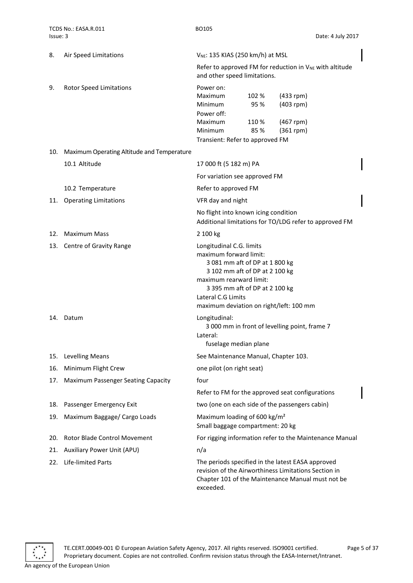| 8.  | Air Speed Limitations                      | V <sub>NE</sub> : 135 KIAS (250 km/h) at MSL                                                                                                                                                                                                         |  |  |  |
|-----|--------------------------------------------|------------------------------------------------------------------------------------------------------------------------------------------------------------------------------------------------------------------------------------------------------|--|--|--|
|     |                                            | Refer to approved FM for reduction in V <sub>NE</sub> with altitude<br>and other speed limitations.                                                                                                                                                  |  |  |  |
| 9.  | <b>Rotor Speed Limitations</b>             | Power on:<br>Maximum<br>102 %<br>$(433$ rpm)<br>95 %<br>$(403$ rpm)<br>Minimum<br>Power off:<br>Maximum<br>110 %<br>$(467$ rpm)<br>85%<br>$(361$ rpm $)$<br>Minimum<br>Transient: Refer to approved FM                                               |  |  |  |
| 10. | Maximum Operating Altitude and Temperature |                                                                                                                                                                                                                                                      |  |  |  |
|     | 10.1 Altitude                              | 17 000 ft (5 182 m) PA                                                                                                                                                                                                                               |  |  |  |
|     |                                            | For variation see approved FM                                                                                                                                                                                                                        |  |  |  |
|     | 10.2 Temperature                           | Refer to approved FM                                                                                                                                                                                                                                 |  |  |  |
|     | 11. Operating Limitations                  | VFR day and night                                                                                                                                                                                                                                    |  |  |  |
|     |                                            | No flight into known icing condition<br>Additional limitations for TO/LDG refer to approved FM                                                                                                                                                       |  |  |  |
| 12. | Maximum Mass                               | 2 100 kg                                                                                                                                                                                                                                             |  |  |  |
|     | 13. Centre of Gravity Range                | Longitudinal C.G. limits<br>maximum forward limit:<br>3 081 mm aft of DP at 1 800 kg<br>3 102 mm aft of DP at 2 100 kg<br>maximum rearward limit:<br>3 395 mm aft of DP at 2 100 kg<br>Lateral C.G Limits<br>maximum deviation on right/left: 100 mm |  |  |  |
|     | 14. Datum                                  | Longitudinal:<br>3 000 mm in front of levelling point, frame 7<br>Lateral:<br>fuselage median plane                                                                                                                                                  |  |  |  |
|     | 15. Levelling Means                        | See Maintenance Manual, Chapter 103.                                                                                                                                                                                                                 |  |  |  |
| 16. | Minimum Flight Crew                        | one pilot (on right seat)                                                                                                                                                                                                                            |  |  |  |
| 17. | Maximum Passenger Seating Capacity         | four                                                                                                                                                                                                                                                 |  |  |  |
|     |                                            | Refer to FM for the approved seat configurations                                                                                                                                                                                                     |  |  |  |
| 18. | Passenger Emergency Exit                   | two (one on each side of the passengers cabin)                                                                                                                                                                                                       |  |  |  |
| 19. | Maximum Baggage/ Cargo Loads               | Maximum loading of 600 kg/m <sup>2</sup><br>Small baggage compartment: 20 kg                                                                                                                                                                         |  |  |  |
| 20. | Rotor Blade Control Movement               | For rigging information refer to the Maintenance Manual                                                                                                                                                                                              |  |  |  |
| 21. | Auxiliary Power Unit (APU)                 | n/a                                                                                                                                                                                                                                                  |  |  |  |
| 22. | Life-limited Parts                         | The periods specified in the latest EASA approved<br>revision of the Airworthiness Limitations Section in<br>Chapter 101 of the Maintenance Manual must not be<br>exceeded.                                                                          |  |  |  |

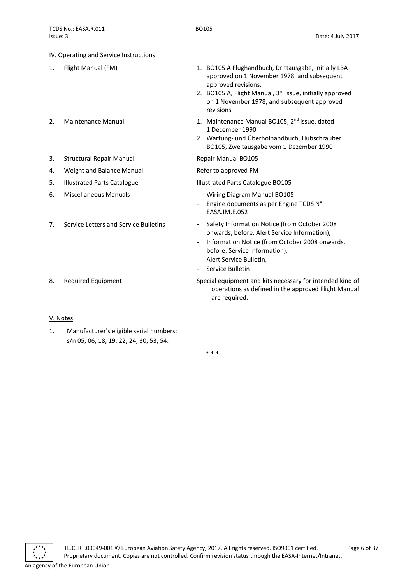approved revisions.

1 December 1990

EASA.IM.E.052

revisions

approved on 1 November 1978, and subsequent

2. BO105 A, Flight Manual, 3<sup>rd</sup> issue, initially approved on 1 November 1978, and subsequent approved

2. Wartung- und Überholhandbuch, Hubschrauber BO105, Zweitausgabe vom 1 Dezember 1990

Engine documents as per Engine TCDS N°

onwards, before: Alert Service Information), - Information Notice (from October 2008 onwards,

operations as defined in the approved Flight Manual

before: Service Information),

Alert Service Bulletin, Service Bulletin

are required.

## <span id="page-5-0"></span>IV. Operating and Service Instructions

- 1. Flight Manual (FM) 1. BO105 A Flughandbuch, Drittausgabe, initially LBA
- 2. Maintenance Manual 1. Maintenance Manual BO105,  $2<sup>nd</sup>$  issue, dated
- 3. Structural Repair Manual Repair Manual BO105
- 4. Weight and Balance Manual **Refer to approved FM**
- 5. Illustrated Parts Catalogue **Illustrated Parts Catalogue BO105**
- 6. Miscellaneous Manuals Wiring Diagram Manual BO105
- 7. Service Letters and Service Bulletins Safety Information Notice (from October 2008
- 8. Required Equipment Special equipment and kits necessary for intended kind of

## <span id="page-5-1"></span>V. Notes

1. Manufacturer's eligible serial numbers: s/n 05, 06, 18, 19, 22, 24, 30, 53, 54.

\* \* \*

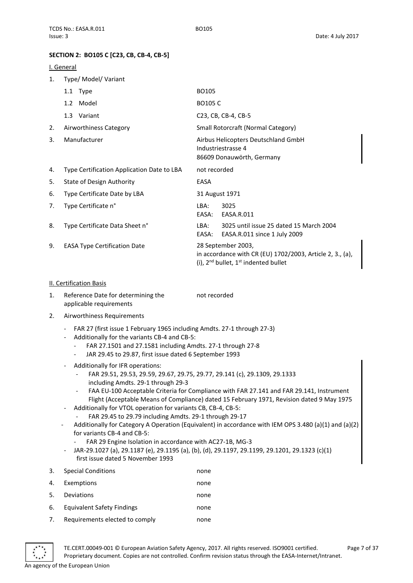## <span id="page-6-0"></span>**SECTION 2: BO105 C [C23, CB, CB-4, CB-5]**

## <span id="page-6-1"></span>I. General

1. Type/ Model/ Variant

|    | 1.1 Type                                   | <b>BO105</b>                                                                                                                         |  |
|----|--------------------------------------------|--------------------------------------------------------------------------------------------------------------------------------------|--|
|    | 1.2 Model                                  | <b>BO105 C</b>                                                                                                                       |  |
|    | 1.3 Variant                                | C23, CB, CB-4, CB-5                                                                                                                  |  |
| 2. | Airworthiness Category                     | Small Rotorcraft (Normal Category)                                                                                                   |  |
| 3. | Manufacturer                               | Airbus Helicopters Deutschland GmbH<br>Industriestrasse 4<br>86609 Donauwörth, Germany                                               |  |
| 4. | Type Certification Application Date to LBA | not recorded                                                                                                                         |  |
| 5. | <b>State of Design Authority</b>           | EASA                                                                                                                                 |  |
| 6. | Type Certificate Date by LBA               | 31 August 1971                                                                                                                       |  |
| 7. | Type Certificate n°                        | 3025<br>LBA:<br>EASA:<br>EASA.R.011                                                                                                  |  |
| 8. | Type Certificate Data Sheet n°             | 3025 until issue 25 dated 15 March 2004<br>LBA:<br>EASA:<br>EASA.R.011 since 1 July 2009                                             |  |
| 9. | <b>EASA Type Certification Date</b>        | 28 September 2003,<br>in accordance with CR (EU) $1702/2003$ , Article 2, 3., (a),<br>(i), $2^{nd}$ bullet, $1^{st}$ indented bullet |  |

## <span id="page-6-2"></span>II. Certification Basis

- 1. Reference Date for determining the applicable requirements not recorded
- 2. Airworthiness Requirements
	- FAR 27 (first issue 1 February 1965 including Amdts. 27-1 through 27-3)
	- Additionally for the variants CB-4 and CB-5:
		- FAR 27.1501 and 27.1581 including Amdts. 27-1 through 27-8
		- JAR 29.45 to 29.87, first issue dated 6 September 1993
	- Additionally for IFR operations:
		- FAR 29.51, 29.53, 29.59, 29.67, 29.75, 29.77, 29.141 (c), 29.1309, 29.1333 including Amdts. 29-1 through 29-3
		- FAA EU-100 Acceptable Criteria for Compliance with FAR 27.141 and FAR 29.141, Instrument Flight (Acceptable Means of Compliance) dated 15 February 1971, Revision dated 9 May 1975
	- Additionally for VTOL operation for variants CB, CB-4, CB-5:
		- FAR 29.45 to 29.79 including Amdts. 29-1 through 29-17
	- Additionally for Category A Operation (Equivalent) in accordance with IEM OPS 3.480 (a)(1) and (a)(2) for variants CB-4 and CB-5:
		- FAR 29 Engine Isolation in accordance with AC27-1B, MG-3
		- JAR-29.1027 (a), 29.1187 (e), 29.1195 (a), (b), (d), 29.1197, 29.1199, 29.1201, 29.1323 (c)(1) first issue dated 5 November 1993
- 3. Special Conditions none

| 4. | Exemptions                     | none |
|----|--------------------------------|------|
| 5. | Deviations                     | none |
| 6. | Equivalent Safety Findings     | none |
| 7. | Requirements elected to comply | none |



TE.CERT.00049-001 © European Aviation Safety Agency, 2017. All rights reserved. ISO9001 certified. Page 7 of 37 Proprietary document. Copies are not controlled. Confirm revision status through the EASA-Internet/Intranet.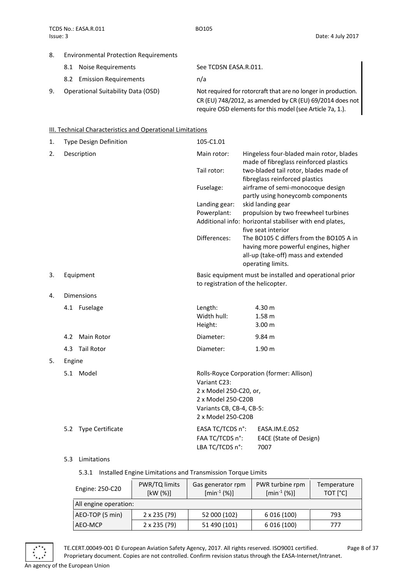CR (EU) 748/2012, as amended by CR (EU) 69/2014 does not require OSD elements for this model (see Article 7a, 1.).

## 8. Environmental Protection Requirements

| 8.1 Noise Requirements             | See TCDSN EASA.R.011.                                         |
|------------------------------------|---------------------------------------------------------------|
| 8.2 Emission Requirements          | n/a                                                           |
| Operational Suitability Data (OSD) | Not required for rotorcraft that are no longer in production. |

## <span id="page-7-0"></span>**III. Technical Characteristics and Operational Limitations**

| 1. | Type Design Definition | 105-C1.01                                                    |                                                                                                                                             |
|----|------------------------|--------------------------------------------------------------|---------------------------------------------------------------------------------------------------------------------------------------------|
| 2. | Description            | Main rotor:                                                  | Hingeless four-bladed main rotor, blades<br>made of fibreglass reinforced plastics                                                          |
|    |                        | Tail rotor:                                                  | two-bladed tail rotor, blades made of<br>fibreglass reinforced plastics                                                                     |
|    |                        | Fuselage:                                                    | airframe of semi-monocoque design<br>partly using honeycomb components                                                                      |
|    |                        | Landing gear:                                                | skid landing gear                                                                                                                           |
|    |                        | Powerplant:                                                  | propulsion by two freewheel turbines                                                                                                        |
|    |                        |                                                              | Additional info: horizontal stabiliser with end plates,<br>five seat interior                                                               |
|    |                        | Differences:                                                 | The BO105 C differs from the BO105 A in<br>having more powerful engines, higher<br>all-up (take-off) mass and extended<br>operating limits. |
| 3. | Equipment              | to registration of the helicopter.                           | Basic equipment must be installed and operational prior                                                                                     |
| 4. | <b>Dimensions</b>      |                                                              |                                                                                                                                             |
|    | 4.1 Fuselage           | Length:                                                      | 4.30 m                                                                                                                                      |
|    |                        | Width hull:                                                  | 1.58 <sub>m</sub>                                                                                                                           |
|    |                        | Height:                                                      | 3.00 <sub>m</sub>                                                                                                                           |
|    | Main Rotor<br>4.2      | Diameter:                                                    | $9.84 \text{ m}$                                                                                                                            |
|    | Tail Rotor<br>4.3      | Diameter:                                                    | 1.90 <sub>m</sub>                                                                                                                           |
| 5. | Engine                 |                                                              |                                                                                                                                             |
|    | 5.1 Model              | Variant C23:<br>2 x Model 250-C20, or,<br>2 x Model 250-C20B | Rolls-Royce Corporation (former: Allison)                                                                                                   |
|    |                        | Variants CB, CB-4, CB-5:<br>2 x Model 250-C20B               |                                                                                                                                             |
|    | 5.2 Type Certificate   | EASA TC/TCDS n°:<br>FAA TC/TCDS n°:<br>LBA TC/TCDS n°:       | EASA.IM.E.052<br>E4CE (State of Design)<br>7007                                                                                             |

## 5.3 Limitations

5.3.1 Installed Engine Limitations and Transmission Torque Limits

| Engine: 250-C20       | PWR/TQ limits<br>[kW(%)] | Gas generator rpm<br>$[min^{-1}(%)]$ | PWR turbine rpm<br>$[min^{-1}(%)]$ | Temperature<br>TOT [°C] |
|-----------------------|--------------------------|--------------------------------------|------------------------------------|-------------------------|
| All engine operation: |                          |                                      |                                    |                         |
| AEO-TOP (5 min)       | $2 \times 235 (79)$      | 52 000 (102)                         | 6 0 16 (100)                       | 793                     |
| AEO-MCP               | $2 \times 235 (79)$      | 51 490 (101)                         | 6 0 16 (100)                       | 777                     |

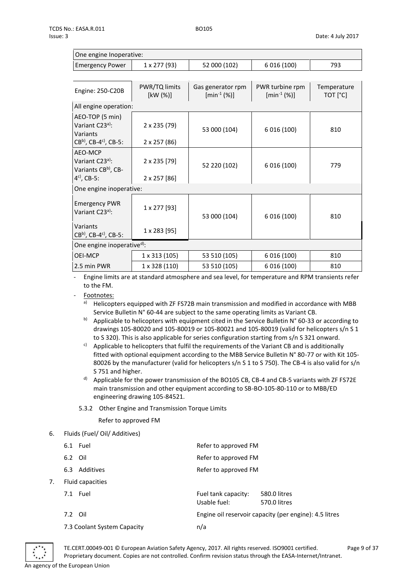| One engine Inoperative: |              |              |              |      |  |  |
|-------------------------|--------------|--------------|--------------|------|--|--|
| <b>Emergency Power</b>  | 1 x 277 (93) | 52 000 (102) | 6 0 16 (100) | 793. |  |  |

| Engine: 250-C20B                                                                                    | PWR/TQ limits<br>[kW (%)]    | Gas generator rpm<br>$[min^{-1}(%)]$ | PWR turbine rpm<br>$[min^{-1}(%)]$ | Temperature<br>TOT [°C] |  |
|-----------------------------------------------------------------------------------------------------|------------------------------|--------------------------------------|------------------------------------|-------------------------|--|
| All engine operation:                                                                               |                              |                                      |                                    |                         |  |
| AEO-TOP (5 min)<br>Variant C23 <sup>a)</sup> :<br>Variants<br>$CB^{b}$ , CB-4 <sup>c</sup> ), CB-5: | 2 x 235 (79)<br>2 x 257 (86) | 53 000 (104)                         | 6 0 16 (100)                       | 810                     |  |
| AEO-MCP<br>Variant C23 <sup>a)</sup> :<br>Variants CBb), CB-<br>$4^{c}$ , CB-5:                     | 2 x 235 [79]<br>2 x 257 [86] | 52 220 (102)                         | 6 0 16 (100)                       | 779                     |  |
| One engine inoperative:                                                                             |                              |                                      |                                    |                         |  |
| <b>Emergency PWR</b><br>Variant C23 <sup>a)</sup> :                                                 | 1 x 277 [93]                 | 53 000 (104)                         | 6 016 (100)                        | 810                     |  |
| Variants<br>$CB^{b}$ , CB-4 <sup>c</sup> ), CB-5:                                                   | 1 x 283 [95]                 |                                      |                                    |                         |  |
| One engine inoperatived):                                                                           |                              |                                      |                                    |                         |  |
| OEI-MCP                                                                                             | 1 x 313 (105)                | 53 510 (105)                         | 6 0 16 (100)                       | 810                     |  |
| 2.5 min PWR                                                                                         | 1 x 328 (110)                | 53 510 (105)                         | 6 0 16 (100)                       | 810                     |  |

- Engine limits are at standard atmosphere and sea level, for temperature and RPM transients refer to the FM.

Footnotes:

- a) Helicopters equipped with ZF FS72B main transmission and modified in accordance with MBB Service Bulletin N° 60-44 are subject to the same operating limits as Variant CB.
- b) Applicable to helicopters with equipment cited in the Service Bulletin N° 60-33 or according to drawings 105-80020 and 105-80019 or 105-80021 and 105-80019 (valid for helicopters s/n S 1 to S 320). This is also applicable for series configuration starting from s/n S 321 onward.
- $c)$  Applicable to helicopters that fulfil the requirements of the Variant CB and is additionally fitted with optional equipment according to the MBB Service Bulletin N° 80-77 or with Kit 105- 80026 by the manufacturer (valid for helicopters s/n S 1 to S 750). The CB-4 is also valid for s/n S 751 and higher.
- d) Applicable for the power transmission of the BO105 CB, CB-4 and CB-5 variants with ZF FS72E main transmission and other equipment according to SB-BO-105-80-110 or to MBB/ED engineering drawing 105-84521.
- 5.3.2 Other Engine and Transmission Torque Limits

Refer to approved FM

6. Fluids (Fuel/ Oil/ Additives)

|    | 6.1 Fuel                    | Refer to approved FM                                                |  |  |
|----|-----------------------------|---------------------------------------------------------------------|--|--|
|    | 6.2 Oil                     | Refer to approved FM                                                |  |  |
|    | Additives<br>6.3            | Refer to approved FM                                                |  |  |
| 7. | Fluid capacities            |                                                                     |  |  |
|    | 7.1 Fuel                    | Fuel tank capacity:<br>580.0 litres<br>Usable fuel:<br>570.0 litres |  |  |
|    | 7.2 Oil                     | Engine oil reservoir capacity (per engine): 4.5 litres              |  |  |
|    | 7.3 Coolant System Capacity | n/a                                                                 |  |  |



TE.CERT.00049-001 © European Aviation Safety Agency, 2017. All rights reserved. ISO9001 certified. Page 9 of 37 Proprietary document. Copies are not controlled. Confirm revision status through the EASA-Internet/Intranet. An agency of the European Union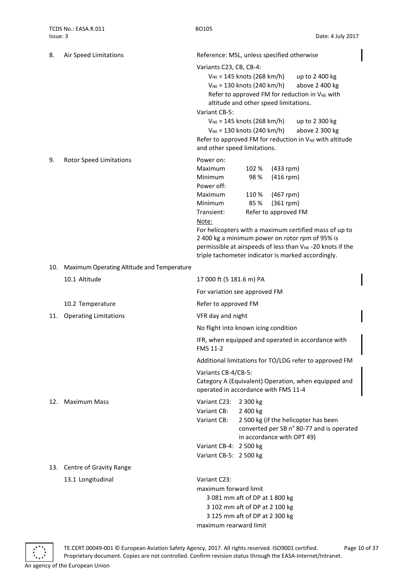| 8.  | Air Speed Limitations                      | Reference: MSL, unless specified otherwise                                                                                                                                                                                                                                                                                                                                                                                                                                 |                                                                                                    |                                                                                  |                                                                                                                                                                                                                                           |
|-----|--------------------------------------------|----------------------------------------------------------------------------------------------------------------------------------------------------------------------------------------------------------------------------------------------------------------------------------------------------------------------------------------------------------------------------------------------------------------------------------------------------------------------------|----------------------------------------------------------------------------------------------------|----------------------------------------------------------------------------------|-------------------------------------------------------------------------------------------------------------------------------------------------------------------------------------------------------------------------------------------|
|     |                                            | Variants C23, CB, CB-4:<br>$V_{NE}$ = 145 knots (268 km/h)<br>up to 2 400 kg<br>$V_{NE}$ = 130 knots (240 km/h)<br>above 2 400 kg<br>Refer to approved FM for reduction in V <sub>NE</sub> with<br>altitude and other speed limitations.<br>Variant CB-5:<br>$V_{NE}$ = 145 knots (268 km/h)<br>up to 2 300 kg<br>$V_{NE}$ = 130 knots (240 km/h)<br>above 2 300 kg<br>Refer to approved FM for reduction in V <sub>NE</sub> with altitude<br>and other speed limitations. |                                                                                                    |                                                                                  |                                                                                                                                                                                                                                           |
| 9.  | <b>Rotor Speed Limitations</b>             | Power on:<br>Maximum<br>Minimum<br>Power off:<br>Maximum<br>Minimum<br>Transient:<br>Note:                                                                                                                                                                                                                                                                                                                                                                                 | 102 %<br>98%<br>110%<br>85%                                                                        | $(433$ rpm)<br>$(416$ rpm)<br>$(467$ rpm)<br>$(361$ rpm)<br>Refer to approved FM | For helicopters with a maximum certified mass of up to<br>2 400 kg a minimum power on rotor rpm of 95% is<br>permissible at airspeeds of less than V <sub>NE</sub> -20 knots if the<br>triple tachometer indicator is marked accordingly. |
| 10. | Maximum Operating Altitude and Temperature |                                                                                                                                                                                                                                                                                                                                                                                                                                                                            |                                                                                                    |                                                                                  |                                                                                                                                                                                                                                           |
|     | 10.1 Altitude                              | 17 000 ft (5 181.6 m) PA                                                                                                                                                                                                                                                                                                                                                                                                                                                   |                                                                                                    |                                                                                  |                                                                                                                                                                                                                                           |
|     |                                            | For variation see approved FM                                                                                                                                                                                                                                                                                                                                                                                                                                              |                                                                                                    |                                                                                  |                                                                                                                                                                                                                                           |
|     | 10.2 Temperature                           | Refer to approved FM                                                                                                                                                                                                                                                                                                                                                                                                                                                       |                                                                                                    |                                                                                  |                                                                                                                                                                                                                                           |
| 11. | <b>Operating Limitations</b>               | VFR day and night                                                                                                                                                                                                                                                                                                                                                                                                                                                          |                                                                                                    |                                                                                  |                                                                                                                                                                                                                                           |
|     |                                            | No flight into known icing condition                                                                                                                                                                                                                                                                                                                                                                                                                                       |                                                                                                    |                                                                                  |                                                                                                                                                                                                                                           |
|     |                                            | FMS 11-2                                                                                                                                                                                                                                                                                                                                                                                                                                                                   |                                                                                                    |                                                                                  | IFR, when equipped and operated in accordance with                                                                                                                                                                                        |
|     |                                            |                                                                                                                                                                                                                                                                                                                                                                                                                                                                            |                                                                                                    |                                                                                  | Additional limitations for TO/LDG refer to approved FM                                                                                                                                                                                    |
|     |                                            | Variants CB-4/CB-5:<br>operated in accordance with FMS 11-4                                                                                                                                                                                                                                                                                                                                                                                                                |                                                                                                    |                                                                                  | Category A (Equivalent) Operation, when equipped and                                                                                                                                                                                      |
| 12. | <b>Maximum Mass</b>                        | Variant C23:<br>Variant CB:<br>Variant CB:<br>Variant CB-4: 2 500 kg                                                                                                                                                                                                                                                                                                                                                                                                       | 2 300 kg<br>2 400 kg<br>in accordance with OPT 49)                                                 |                                                                                  | 2 500 kg (if the helicopter has been<br>converted per SB n° 80-77 and is operated                                                                                                                                                         |
|     |                                            | Variant CB-5: 2 500 kg                                                                                                                                                                                                                                                                                                                                                                                                                                                     |                                                                                                    |                                                                                  |                                                                                                                                                                                                                                           |
|     | 13. Centre of Gravity Range                |                                                                                                                                                                                                                                                                                                                                                                                                                                                                            |                                                                                                    |                                                                                  |                                                                                                                                                                                                                                           |
|     | 13.1 Longitudinal                          | Variant C23:<br>maximum forward limit<br>maximum rearward limit                                                                                                                                                                                                                                                                                                                                                                                                            | 3 081 mm aft of DP at 1 800 kg<br>3 102 mm aft of DP at 2 100 kg<br>3 125 mm aft of DP at 2 300 kg |                                                                                  |                                                                                                                                                                                                                                           |

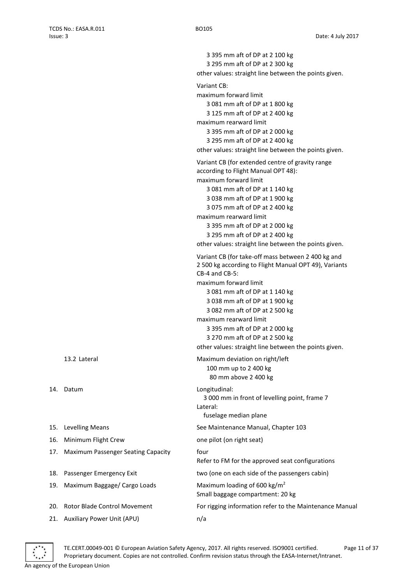|     |                                    | 3 395 mm aft of DP at 2 100 kg<br>3 295 mm aft of DP at 2 300 kg                                                                                                                                                                                                                                                                                                                                                                                                                                                                                                                                                                                                             |
|-----|------------------------------------|------------------------------------------------------------------------------------------------------------------------------------------------------------------------------------------------------------------------------------------------------------------------------------------------------------------------------------------------------------------------------------------------------------------------------------------------------------------------------------------------------------------------------------------------------------------------------------------------------------------------------------------------------------------------------|
|     |                                    | other values: straight line between the points given.                                                                                                                                                                                                                                                                                                                                                                                                                                                                                                                                                                                                                        |
|     |                                    | Variant CB:                                                                                                                                                                                                                                                                                                                                                                                                                                                                                                                                                                                                                                                                  |
|     |                                    | maximum forward limit<br>3 081 mm aft of DP at 1 800 kg<br>3 125 mm aft of DP at 2 400 kg                                                                                                                                                                                                                                                                                                                                                                                                                                                                                                                                                                                    |
|     |                                    | maximum rearward limit<br>3 395 mm aft of DP at 2 000 kg<br>3 295 mm aft of DP at 2 400 kg<br>other values: straight line between the points given.                                                                                                                                                                                                                                                                                                                                                                                                                                                                                                                          |
|     |                                    | Variant CB (for extended centre of gravity range<br>according to Flight Manual OPT 48):<br>maximum forward limit<br>3 081 mm aft of DP at 1 140 kg<br>3 038 mm aft of DP at 1 900 kg<br>3 075 mm aft of DP at 2 400 kg<br>maximum rearward limit<br>3 395 mm aft of DP at 2 000 kg<br>3 295 mm aft of DP at 2 400 kg<br>other values: straight line between the points given.<br>Variant CB (for take-off mass between 2 400 kg and<br>2 500 kg according to Flight Manual OPT 49), Variants<br>$CB-4$ and $CB-5$ :<br>maximum forward limit<br>3 081 mm aft of DP at 1 140 kg<br>3 038 mm aft of DP at 1 900 kg<br>3 082 mm aft of DP at 2 500 kg<br>maximum rearward limit |
|     |                                    | 3 395 mm aft of DP at 2 000 kg<br>3 270 mm aft of DP at 2 500 kg<br>other values: straight line between the points given.                                                                                                                                                                                                                                                                                                                                                                                                                                                                                                                                                    |
|     | 13.2 Lateral                       | Maximum deviation on right/left<br>100 mm up to 2 400 kg<br>80 mm above 2 400 kg                                                                                                                                                                                                                                                                                                                                                                                                                                                                                                                                                                                             |
| 14. | Datum                              | Longitudinal:<br>3 000 mm in front of levelling point, frame 7<br>Lateral:<br>fuselage median plane                                                                                                                                                                                                                                                                                                                                                                                                                                                                                                                                                                          |
| 15. | <b>Levelling Means</b>             | See Maintenance Manual, Chapter 103                                                                                                                                                                                                                                                                                                                                                                                                                                                                                                                                                                                                                                          |
| 16. | Minimum Flight Crew                | one pilot (on right seat)                                                                                                                                                                                                                                                                                                                                                                                                                                                                                                                                                                                                                                                    |
| 17. | Maximum Passenger Seating Capacity | four<br>Refer to FM for the approved seat configurations                                                                                                                                                                                                                                                                                                                                                                                                                                                                                                                                                                                                                     |
| 18. | Passenger Emergency Exit           | two (one on each side of the passengers cabin)                                                                                                                                                                                                                                                                                                                                                                                                                                                                                                                                                                                                                               |
| 19. | Maximum Baggage/ Cargo Loads       | Maximum loading of 600 kg/m <sup>2</sup><br>Small baggage compartment: 20 kg                                                                                                                                                                                                                                                                                                                                                                                                                                                                                                                                                                                                 |
| 20. | Rotor Blade Control Movement       | For rigging information refer to the Maintenance Manual                                                                                                                                                                                                                                                                                                                                                                                                                                                                                                                                                                                                                      |
| 21. | Auxiliary Power Unit (APU)         | n/a                                                                                                                                                                                                                                                                                                                                                                                                                                                                                                                                                                                                                                                                          |

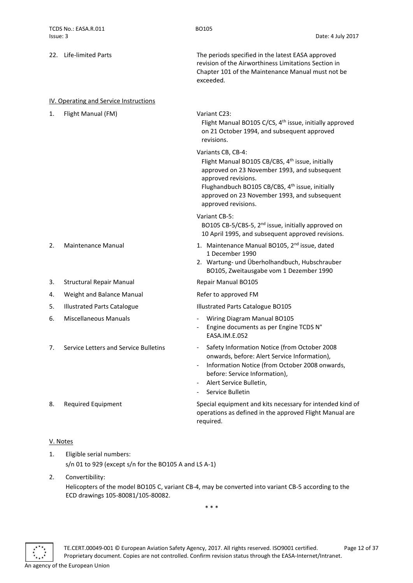<span id="page-11-0"></span>

|    | 22. Life-limited Parts                 | The periods specified in the latest EASA approved<br>revision of the Airworthiness Limitations Section in<br>Chapter 101 of the Maintenance Manual must not be<br>exceeded.                                                                                                                     |
|----|----------------------------------------|-------------------------------------------------------------------------------------------------------------------------------------------------------------------------------------------------------------------------------------------------------------------------------------------------|
|    | IV. Operating and Service Instructions |                                                                                                                                                                                                                                                                                                 |
| 1. | Flight Manual (FM)                     | Variant C23:<br>Flight Manual BO105 C/CS, 4 <sup>th</sup> issue, initially approved<br>on 21 October 1994, and subsequent approved<br>revisions.                                                                                                                                                |
|    |                                        | Variants CB, CB-4:<br>Flight Manual BO105 CB/CBS, 4 <sup>th</sup> issue, initially<br>approved on 23 November 1993, and subsequent<br>approved revisions.<br>Flughandbuch BO105 CB/CBS, 4 <sup>th</sup> issue, initially<br>approved on 23 November 1993, and subsequent<br>approved revisions. |
|    |                                        | Variant CB-5:<br>BO105 CB-5/CBS-5, 2 <sup>nd</sup> issue, initially approved on<br>10 April 1995, and subsequent approved revisions.                                                                                                                                                            |
| 2. | <b>Maintenance Manual</b>              | 1. Maintenance Manual BO105, 2 <sup>nd</sup> issue, dated<br>1 December 1990<br>2. Wartung- und Überholhandbuch, Hubschrauber<br>BO105, Zweitausgabe vom 1 Dezember 1990                                                                                                                        |
| 3. | <b>Structural Repair Manual</b>        | Repair Manual BO105                                                                                                                                                                                                                                                                             |
| 4. | Weight and Balance Manual              | Refer to approved FM                                                                                                                                                                                                                                                                            |
| 5. | <b>Illustrated Parts Catalogue</b>     | Illustrated Parts Catalogue BO105                                                                                                                                                                                                                                                               |
| 6. | <b>Miscellaneous Manuals</b>           | Wiring Diagram Manual BO105<br>Engine documents as per Engine TCDS N°<br>EASA.IM.E.052                                                                                                                                                                                                          |
| 7. | Service Letters and Service Bulletins  | Safety Information Notice (from October 2008<br>onwards, before: Alert Service Information),<br>Information Notice (from October 2008 onwards,<br>before: Service Information),<br>Alert Service Bulletin,<br>Service Bulletin                                                                  |
| 8. | <b>Required Equipment</b>              | Special equipment and kits necessary for intended kind of<br>operations as defined in the approved Flight Manual are<br>required.                                                                                                                                                               |
|    |                                        |                                                                                                                                                                                                                                                                                                 |

- <span id="page-11-1"></span>V. Notes
- 1. Eligible serial numbers: s/n 01 to 929 (except s/n for the BO105 A and LS A-1)
- 2. Convertibility: Helicopters of the model BO105 C, variant CB-4, may be converted into variant CB-5 according to the ECD drawings 105-80081/105-80082.

\* \* \*

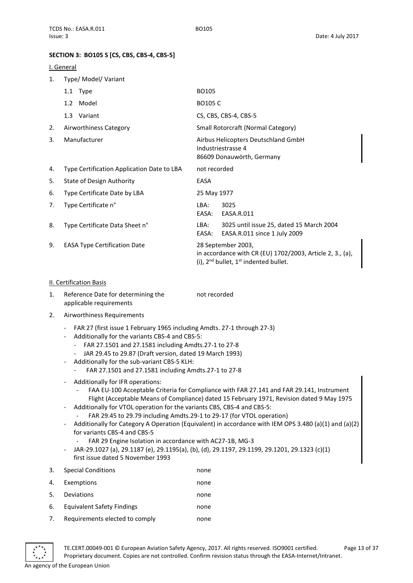## <span id="page-12-0"></span>**SECTION 3: BO105 S [CS, CBS, CBS-4, CBS-5]**

## <span id="page-12-1"></span>I. General

1. Type/ Model/ Variant

|    | 1.1 Type                                   | BO105                                                                                                                              |  |  |  |
|----|--------------------------------------------|------------------------------------------------------------------------------------------------------------------------------------|--|--|--|
|    | 1.2 Model                                  | <b>BO105 C</b>                                                                                                                     |  |  |  |
|    | 1.3 Variant                                | CS, CBS, CBS-4, CBS-5                                                                                                              |  |  |  |
| 2. | Airworthiness Category                     | Small Rotorcraft (Normal Category)                                                                                                 |  |  |  |
| 3. | Manufacturer                               | Airbus Helicopters Deutschland GmbH<br>Industriestrasse 4<br>86609 Donauwörth, Germany                                             |  |  |  |
| 4. | Type Certification Application Date to LBA | not recorded                                                                                                                       |  |  |  |
| 5. | State of Design Authority                  | EASA                                                                                                                               |  |  |  |
| 6. | Type Certificate Date by LBA               | 25 May 1977                                                                                                                        |  |  |  |
| 7. | Type Certificate n°                        | 3025<br>LBA:<br>EASA:<br>EASA.R.011                                                                                                |  |  |  |
| 8. | Type Certificate Data Sheet n°             | 3025 until issue 25, dated 15 March 2004<br>LBA:<br>EASA:<br>EASA.R.011 since 1 July 2009                                          |  |  |  |
| 9. | <b>EASA Type Certification Date</b>        | 28 September 2003,<br>in accordance with CR (EU) 1702/2003, Article 2, 3., (a),<br>(i), $2^{nd}$ bullet, $1^{st}$ indented bullet. |  |  |  |

## <span id="page-12-2"></span>II. Certification Basis

- 1. Reference Date for determining the applicable requirements not recorded
- 2. Airworthiness Requirements
	- FAR 27 (first issue 1 February 1965 including Amdts. 27-1 through 27-3)
	- Additionally for the variants CBS-4 and CBS-5:
		- FAR 27.1501 and 27.1581 including Amdts.27-1 to 27-8
		- JAR 29.45 to 29.87 (Draft version, dated 19 March 1993)
	- Additionally for the sub-variant CBS-5 KLH:
		- FAR 27.1501 and 27.1581 including Amdts.27-1 to 27-8
	- Additionally for IFR operations:
		- FAA EU-100 Acceptable Criteria for Compliance with FAR 27.141 and FAR 29.141, Instrument Flight (Acceptable Means of Compliance) dated 15 February 1971, Revision dated 9 May 1975
	- Additionally for VTOL operation for the variants CBS, CBS-4 and CBS-5:
		- FAR 29.45 to 29.79 including Amdts.29-1 to 29-17 (for VTOL operation)
	- Additionally for Category A Operation (Equivalent) in accordance with IEM OPS 3.480 (a)(1) and (a)(2) for variants CBS-4 and CBS-5
		- FAR 29 Engine Isolation in accordance with AC27-1B, MG-3
	- JAR-29.1027 (a), 29.1187 (e), 29.1195(a), (b), (d), 29.1197, 29.1199, 29.1201, 29.1323 (c)(1) first issue dated 5 November 1993
- 3. Special Conditions none

| 4. | Exemptions                                   | none |
|----|----------------------------------------------|------|
| 5. | Deviations                                   | none |
| 6. | Equivalent Safety Findings                   | none |
|    | Distantes considerations and the consecutive |      |

7. Requirements elected to comply mone

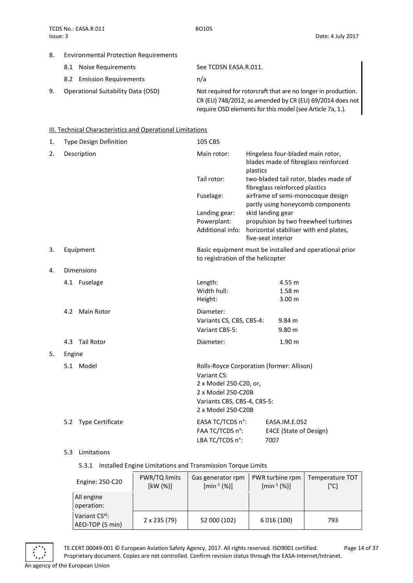## 8. Environmental Protection Requirements

| 8.1 Noise Requirements    | See TCDSN EASA.R.011.                     |
|---------------------------|-------------------------------------------|
| 8.2 Emission Requirements | n/a                                       |
|                           | $\sim$ $\sim$ $\sim$ $\sim$ $\sim$ $\sim$ |

9. Operational Suitability Data (OSD) Not required for rotorcraft that are no longer in production. CR (EU) 748/2012, as amended by CR (EU) 69/2014 does not require OSD elements for this model (see Article 7a, 1.).

## <span id="page-13-0"></span>**III. Technical Characteristics and Operational Limitations**

| 1. | <b>Type Design Definition</b> | 105 CBS                                   |                                                         |                                                                               |  |
|----|-------------------------------|-------------------------------------------|---------------------------------------------------------|-------------------------------------------------------------------------------|--|
| 2. | Description                   | Main rotor:                               | plastics                                                | Hingeless four-bladed main rotor,<br>blades made of fibreglass reinforced     |  |
|    |                               | Tail rotor:                               |                                                         | two-bladed tail rotor, blades made of<br>fibreglass reinforced plastics       |  |
|    |                               | Fuselage:                                 |                                                         | airframe of semi-monocoque design<br>partly using honeycomb components        |  |
|    |                               | Landing gear:                             |                                                         | skid landing gear                                                             |  |
|    |                               | Powerplant:                               |                                                         | propulsion by two freewheel turbines                                          |  |
|    |                               |                                           |                                                         | Additional info: horizontal stabiliser with end plates,<br>five-seat interior |  |
| 3. | Equipment                     | to registration of the helicopter         | Basic equipment must be installed and operational prior |                                                                               |  |
| 4. | <b>Dimensions</b>             |                                           |                                                         |                                                                               |  |
|    | 4.1 Fuselage                  | Length:                                   |                                                         | 4.55 m                                                                        |  |
|    |                               | Width hull:                               |                                                         | 1.58 <sub>m</sub>                                                             |  |
|    |                               | Height:                                   |                                                         | 3.00 <sub>m</sub>                                                             |  |
|    | 4.2<br>Main Rotor             | Diameter:                                 |                                                         |                                                                               |  |
|    |                               | Variants CS, CBS, CBS-4:                  |                                                         | 9.84 m                                                                        |  |
|    |                               | Variant CBS-5:                            |                                                         | 9.80 m                                                                        |  |
|    | 4.3 Tail Rotor                | Diameter:                                 |                                                         | 1.90 m                                                                        |  |
| 5. | Engine                        |                                           |                                                         |                                                                               |  |
|    | 5.1 Model                     | Rolls-Royce Corporation (former: Allison) |                                                         |                                                                               |  |
|    |                               | Variant CS:                               |                                                         |                                                                               |  |
|    |                               |                                           | 2 x Model 250-C20, or,                                  |                                                                               |  |
|    |                               |                                           | 2 x Model 250-C20B                                      |                                                                               |  |
|    |                               | Variants CBS, CBS-4, CBS-5:               |                                                         |                                                                               |  |
|    |                               | 2 x Model 250-C20B                        |                                                         |                                                                               |  |
|    | 5.2 Type Certificate          | EASA TC/TCDS n°:                          |                                                         | EASA.IM.E.052                                                                 |  |
|    |                               | FAA TC/TCDS n°:                           |                                                         | E4CE (State of Design)                                                        |  |
|    |                               | LBA TC/TCDS n°:                           |                                                         | 7007                                                                          |  |

## 5.3 Limitations

## 5.3.1 Installed Engine Limitations and Transmission Torque Limits

| Engine: 250-C20                  | PWR/TQ limits<br>[kW (%)] | Gas generator rpm<br>$[min^{-1}(%)]$ | PWR turbine rpm<br>$[min^{-1}(%)]$ | Temperature TOT<br>[°C] |
|----------------------------------|---------------------------|--------------------------------------|------------------------------------|-------------------------|
| All engine<br>operation:         |                           |                                      |                                    |                         |
| Variant CSa):<br>AEO-TOP (5 min) | 2 x 235 (79)              | 52 000 (102)                         | 6 0 16 (100)                       | 793                     |

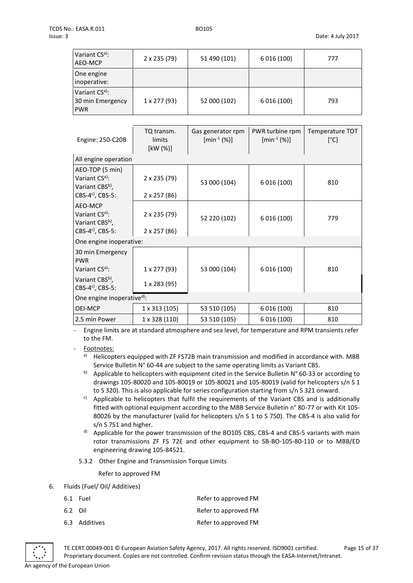| Variant CS <sup>a)</sup> :<br>AEO-MCP                        | 2 x 235 (79)       | 51 490 (101) | 6 0 16 (100) | 777 |
|--------------------------------------------------------------|--------------------|--------------|--------------|-----|
| One engine<br>inoperative:                                   |                    |              |              |     |
| Variant CS <sup>a)</sup> :<br>30 min Emergency<br><b>PWR</b> | $1 \times 277(93)$ | 52 000 (102) | 6 0 16 (100) | 793 |

| Engine: 250-C20B                                                                                         | TQ transm.<br>limits<br>[kW (%)] | Gas generator rpm<br>$[min^{-1}(%)]$ | PWR turbine rpm<br>$[min^{-1}(%)]$ | Temperature TOT<br>[°C] |
|----------------------------------------------------------------------------------------------------------|----------------------------------|--------------------------------------|------------------------------------|-------------------------|
| All engine operation                                                                                     |                                  |                                      |                                    |                         |
| AEO-TOP (5 min)<br>Variant CS <sup>a)</sup> :<br>Variant CBS <sup>b)</sup> ,                             | 2 x 235 (79)                     | 53 000 (104)                         | 6 0 16 (100)                       | 810                     |
| CBS-4 $c$ <sup>c</sup> ), CBS-5:                                                                         | 2 x 257 (86)                     |                                      |                                    |                         |
| AEO-MCP<br>Variant CS <sup>a)</sup> :<br>Variant CBS <sup>b)</sup> ,<br>CBS-4 $c$ <sup>c</sup> ), CBS-5: | 2 x 235 (79)<br>2 x 257 (86)     | 52 220 (102)                         | 6 0 16 (100)                       | 779                     |
| One engine inoperative:                                                                                  |                                  |                                      |                                    |                         |
| 30 min Emergency<br><b>PWR</b><br>Variant CS <sup>a)</sup> :                                             | 1 x 277 (93)                     | 53 000 (104)                         | 6 0 16 (100)                       | 810                     |
| Variant CBSb),<br>CBS-4 <sup>c)</sup> , CBS-5:                                                           | 1 x 283 (95)                     |                                      |                                    |                         |
| One engine inoperative <sup>d)</sup> :                                                                   |                                  |                                      |                                    |                         |
| <b>OEI-MCP</b>                                                                                           | 1 x 313 (105)                    | 53 510 (105)                         | 6 0 16 (100)                       | 810                     |
| 2.5 min Power                                                                                            | 1 x 328 (110)                    | 53 510 (105)                         | 6 0 16 (100)                       | 810                     |

- Engine limits are at standard atmosphere and sea level, for temperature and RPM transients refer to the FM.

Footnotes:

a) Helicopters equipped with ZF FS72B main transmission and modified in accordance with. MBB Service Bulletin N° 60-44 are subject to the same operating limits as Variant CBS.

- b) Applicable to helicopters with equipment cited in the Service Bulletin N° 60-33 or according to drawings 105-80020 and 105-80019 or 105-80021 and 105-80019 (valid for helicopters s/n S 1 to S 320). This is also applicable for series configuration starting from s/n S 321 onward.
- c) Applicable to helicopters that fulfil the requirements of the Variant CBS and is additionally fitted with optional equipment according to the MBB Service Bulletin n° 80-77 or with Kit 105- 80026 by the manufacturer (valid for helicopters s/n S 1 to S 750). The CBS-4 is also valid for s/n S 751 and higher.
- $d)$  Applicable for the power transmission of the BO105 CBS, CBS-4 and CBS-5 variants with main rotor transmissions ZF FS 72E and other equipment to SB-BO-105-80-110 or to MBB/ED engineering drawing 105-84521.
- 5.3.2 Other Engine and Transmission Torque Limits

Refer to approved FM

6. Fluids (Fuel/ Oil/ Additives)

| 6.1 Fuel      | Refer to approved FM |
|---------------|----------------------|
| 6.2 Oil       | Refer to approved FM |
| 6.3 Additives | Refer to approved FM |



TE.CERT.00049-001 © European Aviation Safety Agency, 2017. All rights reserved. ISO9001 certified. Page 15 of 37 Proprietary document. Copies are not controlled. Confirm revision status through the EASA-Internet/Intranet.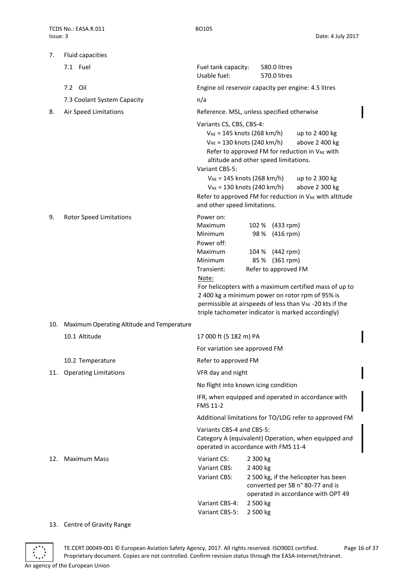| 7.  | Fluid capacities                           |                                                                                                                                                                                                                        |                                                                                                                                                                                                                                                                                                                                           |
|-----|--------------------------------------------|------------------------------------------------------------------------------------------------------------------------------------------------------------------------------------------------------------------------|-------------------------------------------------------------------------------------------------------------------------------------------------------------------------------------------------------------------------------------------------------------------------------------------------------------------------------------------|
|     | 7.1 Fuel                                   | Fuel tank capacity:<br>Usable fuel:                                                                                                                                                                                    | 580.0 litres<br>570.0 litres                                                                                                                                                                                                                                                                                                              |
|     | 7.2 Oil                                    |                                                                                                                                                                                                                        | Engine oil reservoir capacity per engine: 4.5 litres                                                                                                                                                                                                                                                                                      |
|     | 7.3 Coolant System Capacity                | n/a                                                                                                                                                                                                                    |                                                                                                                                                                                                                                                                                                                                           |
| 8.  | Air Speed Limitations                      |                                                                                                                                                                                                                        | Reference. MSL, unless specified otherwise                                                                                                                                                                                                                                                                                                |
|     |                                            | Variants CS, CBS, CBS-4:<br>$V_{NE}$ = 145 knots (268 km/h)<br>$V_{NE}$ = 130 knots (240 km/h)<br>Variant CBS-5:<br>$V_{NE}$ = 145 knots (268 km/h)<br>$V_{NE}$ = 130 knots (240 km/h)<br>and other speed limitations. | up to 2 400 kg<br>above 2 400 kg<br>Refer to approved FM for reduction in V <sub>NE</sub> with<br>altitude and other speed limitations.<br>up to 2 300 kg<br>above 2 300 kg<br>Refer to approved FM for reduction in V <sub>NE</sub> with altitude                                                                                        |
| 9.  | <b>Rotor Speed Limitations</b>             | Power on:<br><b>Maximum</b><br>Minimum<br>Power off:<br>Maximum<br>Minimum<br>Transient:<br>Note:                                                                                                                      | 102 % (433 rpm)<br>98 % (416 rpm)<br>104 % (442 rpm)<br>85 % (361 rpm)<br>Refer to approved FM<br>For helicopters with a maximum certified mass of up to<br>2 400 kg a minimum power on rotor rpm of 95% is<br>permissible at airspeeds of less than V <sub>NE</sub> -20 kts if the<br>triple tachometer indicator is marked accordingly) |
| 10. | Maximum Operating Altitude and Temperature |                                                                                                                                                                                                                        |                                                                                                                                                                                                                                                                                                                                           |
|     | 10.1 Altitude                              | 17 000 ft (5 182 m) PA                                                                                                                                                                                                 |                                                                                                                                                                                                                                                                                                                                           |
|     |                                            | For variation see approved FM                                                                                                                                                                                          |                                                                                                                                                                                                                                                                                                                                           |
|     | 10.2 Temperature                           | Refer to approved FM                                                                                                                                                                                                   |                                                                                                                                                                                                                                                                                                                                           |
|     | 11. Operating Limitations                  | VFR day and night                                                                                                                                                                                                      |                                                                                                                                                                                                                                                                                                                                           |
|     |                                            |                                                                                                                                                                                                                        | No flight into known icing condition                                                                                                                                                                                                                                                                                                      |
|     |                                            | FMS 11-2                                                                                                                                                                                                               | IFR, when equipped and operated in accordance with                                                                                                                                                                                                                                                                                        |
|     |                                            |                                                                                                                                                                                                                        | Additional limitations for TO/LDG refer to approved FM                                                                                                                                                                                                                                                                                    |
|     |                                            | Variants CBS-4 and CBS-5:                                                                                                                                                                                              | Category A (equivalent) Operation, when equipped and<br>operated in accordance with FMS 11-4                                                                                                                                                                                                                                              |
| 12. | <b>Maximum Mass</b>                        | Variant CS:<br>Variant CBS:<br>Variant CBS:<br>Variant CBS-4:<br>Variant CBS-5:                                                                                                                                        | 2 300 kg<br>2 400 kg<br>2 500 kg, if the helicopter has been<br>converted per SB n° 80-77 and is<br>operated in accordance with OPT 49<br>2 500 kg<br>2 500 kg                                                                                                                                                                            |

## 13. Centre of Gravity Range

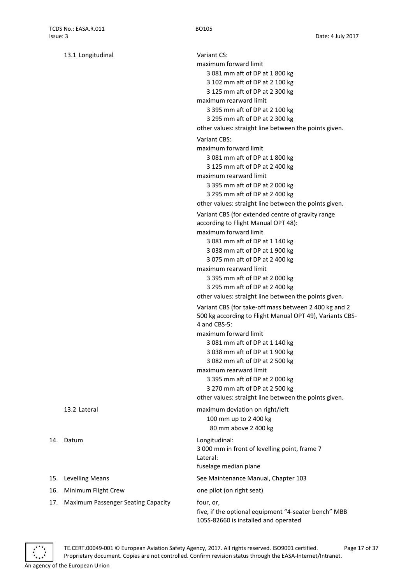|     | 13.1 Longitudinal                         | Variant CS:<br>maximum forward limit<br>3 081 mm aft of DP at 1 800 kg<br>3 102 mm aft of DP at 2 100 kg<br>3 125 mm aft of DP at 2 300 kg                                                                                                                                                                            |
|-----|-------------------------------------------|-----------------------------------------------------------------------------------------------------------------------------------------------------------------------------------------------------------------------------------------------------------------------------------------------------------------------|
|     |                                           | maximum rearward limit<br>3 395 mm aft of DP at 2 100 kg<br>3 295 mm aft of DP at 2 300 kg<br>other values: straight line between the points given.                                                                                                                                                                   |
|     |                                           | <b>Variant CBS:</b><br>maximum forward limit<br>3 081 mm aft of DP at 1 800 kg<br>3 125 mm aft of DP at 2 400 kg<br>maximum rearward limit<br>3 395 mm aft of DP at 2 000 kg<br>3 295 mm aft of DP at 2 400 kg<br>other values: straight line between the points given.                                               |
|     |                                           | Variant CBS (for extended centre of gravity range<br>according to Flight Manual OPT 48):<br>maximum forward limit<br>3 081 mm aft of DP at 1 140 kg<br>3 038 mm aft of DP at 1 900 kg<br>3 075 mm aft of DP at 2 400 kg<br>maximum rearward limit<br>3 395 mm aft of DP at 2 000 kg<br>3 295 mm aft of DP at 2 400 kg |
|     |                                           | other values: straight line between the points given.<br>Variant CBS (for take-off mass between 2 400 kg and 2<br>500 kg according to Flight Manual OPT 49), Variants CBS-<br>4 and CBS-5:                                                                                                                            |
|     |                                           | maximum forward limit<br>3 081 mm aft of DP at 1 140 kg<br>3 038 mm aft of DP at 1 900 kg<br>3 082 mm aft of DP at 2 500 kg<br>maximum rearward limit<br>3 395 mm aft of DP at 2 000 kg<br>3 270 mm aft of DP at 2 500 kg<br>other values: straight line between the points given.                                    |
|     | 13.2 Lateral                              | maximum deviation on right/left<br>100 mm up to 2 400 kg<br>80 mm above 2 400 kg                                                                                                                                                                                                                                      |
|     | 14. Datum                                 | Longitudinal:<br>3 000 mm in front of levelling point, frame 7<br>Lateral:<br>fuselage median plane                                                                                                                                                                                                                   |
| 15. | <b>Levelling Means</b>                    | See Maintenance Manual, Chapter 103                                                                                                                                                                                                                                                                                   |
| 16. | Minimum Flight Crew                       | one pilot (on right seat)                                                                                                                                                                                                                                                                                             |
| 17. | <b>Maximum Passenger Seating Capacity</b> | four, or,<br>five, if the optional equipment "4-seater bench" MBB<br>105S-82660 is installed and operated                                                                                                                                                                                                             |

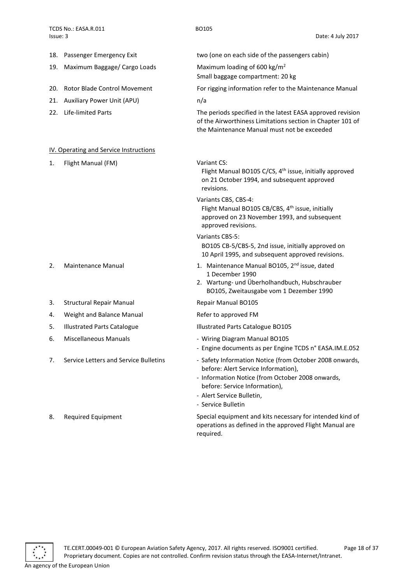<span id="page-17-0"></span>

|     | 18. Passenger Emergency Exit           | two (one on each side of the passengers cabin)                                                                                                                                                                                         |
|-----|----------------------------------------|----------------------------------------------------------------------------------------------------------------------------------------------------------------------------------------------------------------------------------------|
| 19. | Maximum Baggage/ Cargo Loads           | Maximum loading of 600 kg/m <sup>2</sup><br>Small baggage compartment: 20 kg                                                                                                                                                           |
| 20. | <b>Rotor Blade Control Movement</b>    | For rigging information refer to the Maintenance Manual                                                                                                                                                                                |
| 21. | Auxiliary Power Unit (APU)             | n/a                                                                                                                                                                                                                                    |
| 22. | <b>Life-limited Parts</b>              | The periods specified in the latest EASA approved revision<br>of the Airworthiness Limitations section in Chapter 101 of<br>the Maintenance Manual must not be exceeded                                                                |
|     | IV. Operating and Service Instructions |                                                                                                                                                                                                                                        |
| 1.  | Flight Manual (FM)                     | Variant CS:<br>Flight Manual BO105 C/CS, 4 <sup>th</sup> issue, initially approved<br>on 21 October 1994, and subsequent approved<br>revisions.                                                                                        |
|     |                                        | Variants CBS, CBS-4:<br>Flight Manual BO105 CB/CBS, 4 <sup>th</sup> issue, initially<br>approved on 23 November 1993, and subsequent<br>approved revisions.                                                                            |
|     |                                        | Variants CBS-5:<br>BO105 CB-5/CBS-5, 2nd issue, initially approved on<br>10 April 1995, and subsequent approved revisions.                                                                                                             |
| 2.  | Maintenance Manual                     | 1. Maintenance Manual BO105, 2 <sup>nd</sup> issue, dated<br>1 December 1990<br>2. Wartung- und Überholhandbuch, Hubschrauber<br>BO105, Zweitausgabe vom 1 Dezember 1990                                                               |
| 3.  | <b>Structural Repair Manual</b>        | Repair Manual BO105                                                                                                                                                                                                                    |
| 4.  | Weight and Balance Manual              | Refer to approved FM                                                                                                                                                                                                                   |
| 5.  | <b>Illustrated Parts Catalogue</b>     | Illustrated Parts Catalogue BO105                                                                                                                                                                                                      |
| 6.  | <b>Miscellaneous Manuals</b>           | - Wiring Diagram Manual BO105<br>- Engine documents as per Engine TCDS n° EASA.IM.E.052                                                                                                                                                |
| 7.  | Service Letters and Service Bulletins  | - Safety Information Notice (from October 2008 onwards,<br>before: Alert Service Information),<br>- Information Notice (from October 2008 onwards,<br>before: Service Information),<br>- Alert Service Bulletin,<br>- Service Bulletin |
|     |                                        |                                                                                                                                                                                                                                        |

8. Required Equipment Special equipment and kits necessary for intended kind of operations as defined in the approved Flight Manual are required.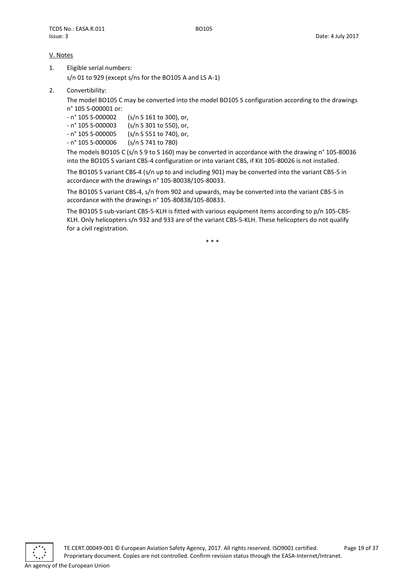## <span id="page-18-0"></span>V. Notes

- 1. Eligible serial numbers: s/n 01 to 929 (except s/ns for the BO105 A and LS A-1)
- 2. Convertibility:

The model BO105 C may be converted into the model BO105 S configuration according to the drawings n° 105 S-000001 or:

- n° 105 S-000002 (s/n S 161 to 300), or,

- n° 105 S-000003 (s/n S 301 to 550), or,

- n° 105 S-000005 (s/n S 551 to 740), or,

- n° 105 S-000006 (s/n S 741 to 780)

The models BO105 C (s/n S 9 to S 160) may be converted in accordance with the drawing n° 105-80036 into the BO105 S variant CBS-4 configuration or into variant CBS, if Kit 105-80026 is not installed.

The BO105 S variant CBS-4 (s/n up to and including 901) may be converted into the variant CBS-5 in accordance with the drawings n° 105-80038/105-80033.

The BO105 S variant CBS-4, s/n from 902 and upwards, may be converted into the variant CBS-5 in accordance with the drawings n° 105-80838/105-80833.

The BO105 S sub-variant CBS-5-KLH is fitted with various equipment items according to p/n 105-CBS-KLH. Only helicopters s/n 932 and 933 are of the variant CBS-5-KLH. These helicopters do not qualify for a civil registration.

\* \* \*

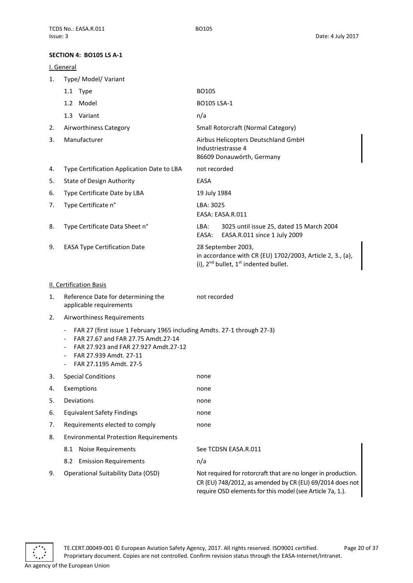## <span id="page-19-0"></span>**SECTION 4: BO105 LS A-1**

## <span id="page-19-1"></span>I. General 1. Type/ Model/ Variant 1.1 Type BO105 1.2 Model BO105 LSA-1 1.3 Variant n/a 2. Airworthiness Category Small Rotorcraft (Normal Category) 3. Manufacturer **Airbus Helicopters Deutschland GmbH** Industriestrasse 4 86609 Donauwörth, Germany 4. Type Certification Application Date to LBA not recorded 5. State of Design Authority EASA 6. Type Certificate Date by LBA 19 July 1984 7. Type Certificate n° LBA: 3025 EASA: EASA.R.011 8. Type Certificate Data Sheet n° LBA: 3025 until issue 25, dated 15 March 2004 EASA: EASA.R.011 since 1 July 2009 9. EASA Type Certification Date 28 September 2003. in accordance with CR (EU) 1702/2003, Article 2, 3., (a), (i),  $2^{nd}$  bullet,  $1^{st}$  indented bullet. II. Certification Basis 1. Reference Date for determining the applicable requirements not recorded 2. Airworthiness Requirements - FAR 27 (first issue 1 February 1965 including Amdts. 27-1 through 27-3) - FAR 27.67 and FAR 27.75 Amdt.27-14 - FAR 27.923 and FAR 27.927 Amdt.27-12 - FAR 27.939 Amdt. 27-11 - FAR 27.1195 Amdt. 27-5 3. Special Conditions none 4. Exemptions none 5. Deviations none 6. Equivalent Safety Findings and the mone

8. Environmental Protection Requirements

<span id="page-19-2"></span>7. Requirements elected to comply mone

- 8.1 Noise Requirements See TCDSN EASA.R.011
	- 8.2 Emission Requirements n/a
- 

9. Operational Suitability Data (OSD) Not required for rotorcraft that are no longer in production. CR (EU) 748/2012, as amended by CR (EU) 69/2014 does not require OSD elements for this model (see Article 7a, 1.).

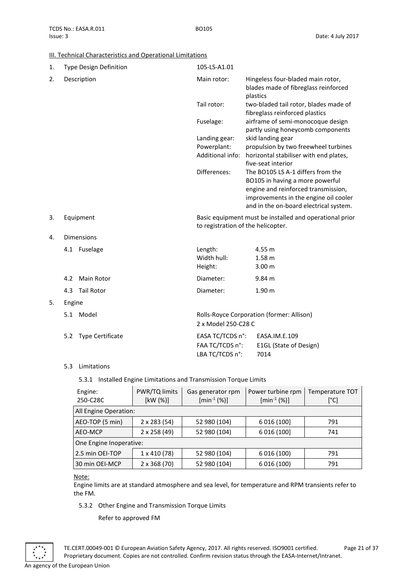## <span id="page-20-0"></span>III. Technical Characteristics and Operational Limitations

| 1. |        | Type Design Definition  | 105-LS-A1.01                                                                                  |                                                                                                                                                                                                |
|----|--------|-------------------------|-----------------------------------------------------------------------------------------------|------------------------------------------------------------------------------------------------------------------------------------------------------------------------------------------------|
| 2. |        | Description             | Main rotor:                                                                                   | Hingeless four-bladed main rotor,<br>blades made of fibreglass reinforced<br>plastics                                                                                                          |
|    |        |                         | Tail rotor:                                                                                   | two-bladed tail rotor, blades made of<br>fibreglass reinforced plastics                                                                                                                        |
|    |        |                         | Fuselage:                                                                                     | airframe of semi-monocoque design<br>partly using honeycomb components                                                                                                                         |
|    |        |                         | Landing gear:                                                                                 | skid landing gear                                                                                                                                                                              |
|    |        |                         | Powerplant:                                                                                   | propulsion by two freewheel turbines                                                                                                                                                           |
|    |        |                         | Additional info:                                                                              | horizontal stabiliser with end plates,<br>five-seat interior                                                                                                                                   |
|    |        |                         | Differences:                                                                                  | The BO105 LS A-1 differs from the<br>BO105 in having a more powerful<br>engine and reinforced transmission,<br>improvements in the engine oil cooler<br>and in the on-board electrical system. |
| 3. |        | Equipment               | Basic equipment must be installed and operational prior<br>to registration of the helicopter. |                                                                                                                                                                                                |
| 4. |        | <b>Dimensions</b>       |                                                                                               |                                                                                                                                                                                                |
|    |        | 4.1 Fuselage            | Length:<br>Width hull:<br>Height:                                                             | 4.55 m<br>1.58 <sub>m</sub><br>3.00 <sub>m</sub>                                                                                                                                               |
|    | 4.2    | Main Rotor              | Diameter:                                                                                     | 9.84 m                                                                                                                                                                                         |
|    | 4.3    | <b>Tail Rotor</b>       | Diameter:                                                                                     | 1.90 <sub>m</sub>                                                                                                                                                                              |
| 5. | Engine |                         |                                                                                               |                                                                                                                                                                                                |
|    |        | 5.1 Model               | 2 x Model 250-C28 C                                                                           | Rolls-Royce Corporation (former: Allison)                                                                                                                                                      |
|    | 5.2    | <b>Type Certificate</b> | EASA TC/TCDS n°:<br>FAA TC/TCDS n°:<br>LBA TC/TCDS n°:                                        | EASA.IM.E.109<br>E1GL (State of Design)<br>7014                                                                                                                                                |

## 5.3 Limitations

## 5.3.1 Installed Engine Limitations and Transmission Torque Limits

| Engine:<br>250-C28C     | PWR/TQ limits<br>[kW (%)] | Gas generator rpm<br>$[min^{-1}(%)]$ | Power turbine rpm<br>$[min^{-1}(%)]$ | Temperature TOT<br>[°C] |
|-------------------------|---------------------------|--------------------------------------|--------------------------------------|-------------------------|
| All Engine Operation:   |                           |                                      |                                      |                         |
| AEO-TOP (5 min)         | $2 \times 283(54)$        | 52 980 (104)                         | 6 016 (100)                          | 791                     |
| AEO-MCP                 | 2 x 258 (49)              | 52 980 (104)                         | 6 016 (100)                          | 741                     |
| One Engine Inoperative: |                           |                                      |                                      |                         |
| 2.5 min OEI-TOP         | $1 \times 410(78)$        | 52 980 (104)                         | 6 016 (100)                          | 791                     |
| 30 min OEI-MCP          | $2 \times 368(70)$        | 52 980 (104)                         | 6 016 (100)                          | 791                     |

Note:

Engine limits are at standard atmosphere and sea level, for temperature and RPM transients refer to the FM.

## 5.3.2 Other Engine and Transmission Torque Limits

Refer to approved FM

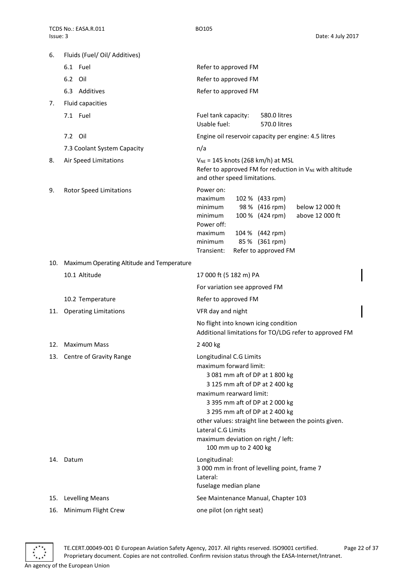| 6.  | Fluids (Fuel/ Oil/ Additives)              |                                                                                                                                                                                                                                                                                                                                                                    |  |
|-----|--------------------------------------------|--------------------------------------------------------------------------------------------------------------------------------------------------------------------------------------------------------------------------------------------------------------------------------------------------------------------------------------------------------------------|--|
|     | 6.1 Fuel                                   | Refer to approved FM                                                                                                                                                                                                                                                                                                                                               |  |
|     | 6.2 Oil                                    | Refer to approved FM                                                                                                                                                                                                                                                                                                                                               |  |
|     | 6.3 Additives                              | Refer to approved FM                                                                                                                                                                                                                                                                                                                                               |  |
| 7.  | Fluid capacities                           |                                                                                                                                                                                                                                                                                                                                                                    |  |
|     | 7.1 Fuel                                   | Fuel tank capacity:<br>580.0 litres<br>Usable fuel:<br>570.0 litres                                                                                                                                                                                                                                                                                                |  |
|     | 7.2 Oil                                    | Engine oil reservoir capacity per engine: 4.5 litres                                                                                                                                                                                                                                                                                                               |  |
|     | 7.3 Coolant System Capacity                | n/a                                                                                                                                                                                                                                                                                                                                                                |  |
| 8.  | Air Speed Limitations                      | $V_{NE}$ = 145 knots (268 km/h) at MSL<br>Refer to approved FM for reduction in V <sub>NE</sub> with altitude<br>and other speed limitations.                                                                                                                                                                                                                      |  |
| 9.  | <b>Rotor Speed Limitations</b>             | Power on:<br>maximum<br>102 % (433 rpm)<br>98 % (416 rpm)<br>minimum<br>below 12 000 ft<br>100 % (424 rpm)<br>above 12 000 ft<br>minimum<br>Power off:<br>104 % (442 rpm)<br>maximum<br>85 % (361 rpm)<br>minimum<br>Transient:<br>Refer to approved FM                                                                                                            |  |
| 10. | Maximum Operating Altitude and Temperature |                                                                                                                                                                                                                                                                                                                                                                    |  |
|     | 10.1 Altitude                              | 17 000 ft (5 182 m) PA                                                                                                                                                                                                                                                                                                                                             |  |
|     |                                            | For variation see approved FM                                                                                                                                                                                                                                                                                                                                      |  |
|     | 10.2 Temperature                           | Refer to approved FM                                                                                                                                                                                                                                                                                                                                               |  |
| 11. | <b>Operating Limitations</b>               | VFR day and night                                                                                                                                                                                                                                                                                                                                                  |  |
|     |                                            | No flight into known icing condition<br>Additional limitations for TO/LDG refer to approved FM                                                                                                                                                                                                                                                                     |  |
| 12. | <b>Maximum Mass</b>                        | 2 400 kg                                                                                                                                                                                                                                                                                                                                                           |  |
|     | 13. Centre of Gravity Range                | Longitudinal C.G Limits<br>maximum forward limit:<br>3 081 mm aft of DP at 1 800 kg<br>3 125 mm aft of DP at 2 400 kg<br>maximum rearward limit:<br>3 395 mm aft of DP at 2 000 kg<br>3 295 mm aft of DP at 2 400 kg<br>other values: straight line between the points given.<br>Lateral C.G Limits<br>maximum deviation on right / left:<br>100 mm up to 2 400 kg |  |
|     | 14. Datum                                  | Longitudinal:<br>3 000 mm in front of levelling point, frame 7<br>Lateral:<br>fuselage median plane                                                                                                                                                                                                                                                                |  |
| 15. | <b>Levelling Means</b>                     | See Maintenance Manual, Chapter 103                                                                                                                                                                                                                                                                                                                                |  |
| 16. | Minimum Flight Crew                        | one pilot (on right seat)                                                                                                                                                                                                                                                                                                                                          |  |



TE.CERT.00049-001 © European Aviation Safety Agency, 2017. All rights reserved. ISO9001 certified. Page 22 of 37 Proprietary document. Copies are not controlled. Confirm revision status through the EASA-Internet/Intranet. An agency of the European Union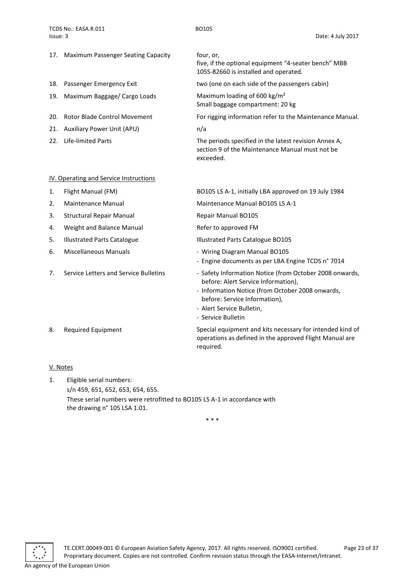TCDS No.: EASA.R.011 BO105 Issue: 3 Date: 4 July 2017

- 17. Maximum Passenger Seating Capacity four, or,
- 
- 19. Maximum Baggage/ Cargo Loads Maximum loading of 600 kg/m<sup>2</sup>
- 
- 21. Auxiliary Power Unit (APU) m/a
- 

## <span id="page-22-0"></span>IV. Operating and Service Instructions

- 
- 
- 3. Structural Repair Manual **Repair Manual Repair Manual BO105**
- 4. Weight and Balance Manual **Refer to approved FM**
- 
- 
- 

five, if the optional equipment "4-seater bench" MBB 105S-82660 is installed and operated.

18. Passenger Emergency Exit two (one on each side of the passengers cabin)

Small baggage compartment: 20 kg

20. Rotor Blade Control Movement For rigging information refer to the Maintenance Manual.

22. Life-limited Parts The periods specified in the latest revision Annex A, section 9 of the Maintenance Manual must not be exceeded.

1. Flight Manual (FM) BO105 LS A-1, initially LBA approved on 19 July 1984

2. Maintenance Manual Maintenance Manual BO105 LS A-1

5. Illustrated Parts Catalogue **Illustrated Parts Catalogue BO105** 

- 6. Miscellaneous Manuals **6. Miscellaneous Manual BO105** 
	- Engine documents as per LBA Engine TCDS n° 7014
- 7. Service Letters and Service Bulletins Safety Information Notice (from October 2008 onwards, before: Alert Service Information),
	- Information Notice (from October 2008 onwards, before: Service Information),
	- Alert Service Bulletin,
	- Service Bulletin

8. Required Equipment Special equipment and kits necessary for intended kind of operations as defined in the approved Flight Manual are required.

## <span id="page-22-1"></span>V. Notes

1. Eligible serial numbers: s/n 459, 651, 652, 653, 654, 655. These serial numbers were retrofitted to BO105 LS A-1 in accordance with the drawing n° 105 LSA 1.01.

\* \* \*

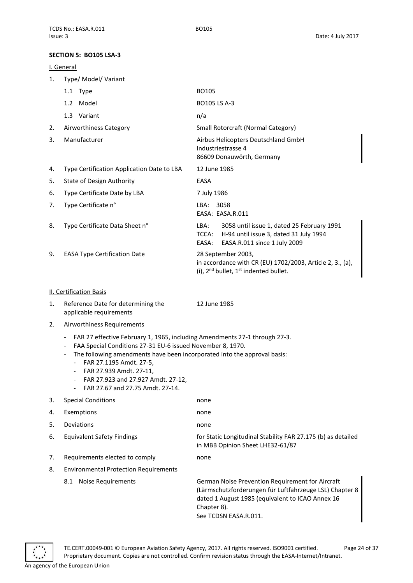## <span id="page-23-0"></span>**SECTION 5: BO105 LSA-3**

## <span id="page-23-1"></span>I. General

| $\mathbf{1}$ . | Type/ Model/ Variant                       |                                                                                                                                                |
|----------------|--------------------------------------------|------------------------------------------------------------------------------------------------------------------------------------------------|
|                | 1.1 Type                                   | BO105                                                                                                                                          |
|                | Model<br>1.2                               | BO105 LS A-3                                                                                                                                   |
|                | 1.3 Variant                                | n/a                                                                                                                                            |
| 2.             | Airworthiness Category                     | Small Rotorcraft (Normal Category)                                                                                                             |
| 3.             | Manufacturer                               | Airbus Helicopters Deutschland GmbH<br>Industriestrasse 4<br>86609 Donauwörth, Germany                                                         |
| 4.             | Type Certification Application Date to LBA | 12 June 1985                                                                                                                                   |
| 5.             | <b>State of Design Authority</b>           | EASA                                                                                                                                           |
| 6.             | Type Certificate Date by LBA               | 7 July 1986                                                                                                                                    |
| 7.             | Type Certificate n°                        | 3058<br>LBA:<br>EASA: EASA.R.011                                                                                                               |
| 8.             | Type Certificate Data Sheet n°             | 3058 until issue 1, dated 25 February 1991<br>LBA:<br>H-94 until issue 3, dated 31 July 1994<br>TCCA:<br>EASA.R.011 since 1 July 2009<br>EASA: |
| 9.             | <b>EASA Type Certification Date</b>        | 28 September 2003,<br>in accordance with CR (EU) 1702/2003, Article 2, 3., (a),<br>(i), $2^{nd}$ bullet, $1^{st}$ indented bullet.             |

## <span id="page-23-2"></span>II. Certification Basis

1. Reference Date for determining the applicable requirements

12 June 1985

- 2. Airworthiness Requirements
	- FAR 27 effective February 1, 1965, including Amendments 27-1 through 27-3.
	- FAA Special Conditions 27-31 EU-6 issued November 8, 1970.
	- The following amendments have been incorporated into the approval basis:
		- FAR 27.1195 Amdt. 27-5,
		- FAR 27.939 Amdt. 27-11,
		- FAR 27.923 and 27.927 Amdt. 27-12,
		- FAR 27.67 and 27.75 Amdt. 27-14.

## 3. Special Conditions none 4. Exemptions none 5. Deviations none 6. Equivalent Safety Findings **for Static Longitudinal Stability FAR 27.175 (b)** as detailed in MBB Opinion Sheet LHE32-61/87 7. Requirements elected to comply mone 8. Environmental Protection Requirements 8.1 Noise Requirements German Noise Prevention Requirement for Aircraft (Lärmschutzforderungen für Luftfahrzeuge LSL) Chapter 8 dated 1 August 1985 (equivalent to ICAO Annex 16 Chapter 8).

See TCDSN EASA.R.011.

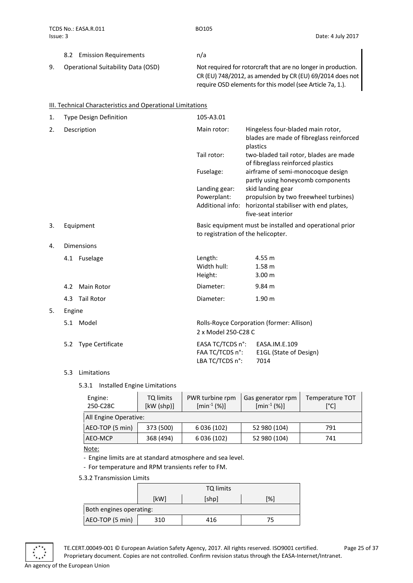|    | 8.2 Emission Requirements          | n/a                                                                                                                       |
|----|------------------------------------|---------------------------------------------------------------------------------------------------------------------------|
| 9. | Operational Suitability Data (OSD) | Not required for rotorcraft that are no longer in production.<br>CR (EU) 748/2012, as amended by CR (EU) 69/2014 does not |
|    |                                    | require OSD elements for this model (see Article 7a, 1.).                                                                 |

<span id="page-24-0"></span>

|    | III. Technical Characteristics and Operational Limitations |                                                        |                                                                                                                            |
|----|------------------------------------------------------------|--------------------------------------------------------|----------------------------------------------------------------------------------------------------------------------------|
| 1. | <b>Type Design Definition</b>                              | 105-A3.01                                              |                                                                                                                            |
| 2. | Description                                                | Main rotor:                                            | Hingeless four-bladed main rotor,<br>blades are made of fibreglass reinforced<br>plastics                                  |
|    |                                                            | Tail rotor:                                            | two-bladed tail rotor, blades are made<br>of fibreglass reinforced plastics                                                |
|    |                                                            | Fuselage:                                              | airframe of semi-monocoque design<br>partly using honeycomb components                                                     |
|    |                                                            | Landing gear:<br>Powerplant:<br>Additional info:       | skid landing gear<br>propulsion by two freewheel turbines)<br>horizontal stabiliser with end plates,<br>five-seat interior |
| 3. | Equipment                                                  | to registration of the helicopter.                     | Basic equipment must be installed and operational prior                                                                    |
| 4. | <b>Dimensions</b>                                          |                                                        |                                                                                                                            |
|    | 4.1 Fuselage                                               | Length:<br>Width hull:<br>Height:                      | 4.55 m<br>1.58 <sub>m</sub><br>3.00 <sub>m</sub>                                                                           |
|    | <b>Main Rotor</b><br>4.2                                   | Diameter:                                              | 9.84 m                                                                                                                     |
|    | <b>Tail Rotor</b><br>4.3                                   | Diameter:                                              | 1.90 <sub>m</sub>                                                                                                          |
| 5. | Engine                                                     |                                                        |                                                                                                                            |
|    | 5.1 Model                                                  | 2 x Model 250-C28 C                                    | Rolls-Royce Corporation (former: Allison)                                                                                  |
|    | 5.2 Type Certificate                                       | EASA TC/TCDS n°:<br>FAA TC/TCDS n°:<br>LBA TC/TCDS n°: | EASA.IM.E.109<br>E1GL (State of Design)<br>7014                                                                            |

## 5.3 Limitations

## 5.3.1 Installed Engine Limitations

| Engine:<br>250-C28C   | TQ limits<br>[kW (shp)] | PWR turbine rpm<br>$[min^{-1}(%)]$ | Gas generator rpm<br>$[min^{-1}(%)]$ | <b>Temperature TOT</b><br>[°C] |  |
|-----------------------|-------------------------|------------------------------------|--------------------------------------|--------------------------------|--|
| All Engine Operative: |                         |                                    |                                      |                                |  |
| AEO-TOP (5 min)       | 373 (500)               | 6 036 (102)                        | 52 980 (104)                         | 791                            |  |
| AEO-MCP               | 368 (494)               | 6 036 (102)                        | 52 980 (104)                         | 741                            |  |

Note:

- Engine limits are at standard atmosphere and sea level.

- For temperature and RPM transients refer to FM.

5.3.2 Transmission Limits

|                 | TQ limits               |       |     |  |  |  |
|-----------------|-------------------------|-------|-----|--|--|--|
|                 | [kW]                    | [shp] | [%] |  |  |  |
|                 | Both engines operating: |       |     |  |  |  |
| AEO-TOP (5 min) | 310                     | 416   | 75  |  |  |  |

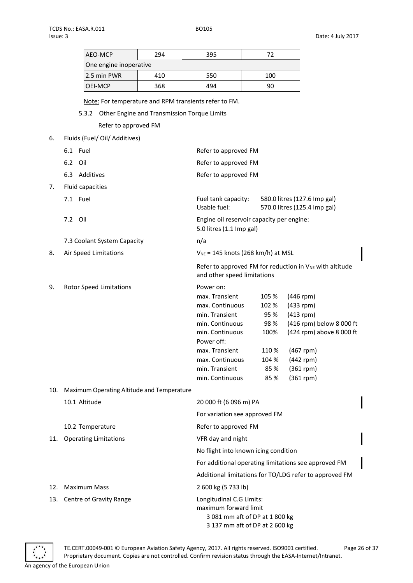| AEO-MCP                | 294 | 395 | 77  |  |
|------------------------|-----|-----|-----|--|
| One engine inoperative |     |     |     |  |
| 2.5 min PWR            | 410 | 550 | 100 |  |
| OEI-MCP                | 368 | 494 | 90  |  |

Note: For temperature and RPM transients refer to FM.

5.3.2 Other Engine and Transmission Torque Limits

Refer to approved FM

| Fluids (Fuel/ Oil/ Additives)<br>6. |                                                                                             |                                                                                                                                                                                                |                                                                         |                                                                                                                                                             |  |
|-------------------------------------|---------------------------------------------------------------------------------------------|------------------------------------------------------------------------------------------------------------------------------------------------------------------------------------------------|-------------------------------------------------------------------------|-------------------------------------------------------------------------------------------------------------------------------------------------------------|--|
|                                     | 6.1 Fuel                                                                                    | Refer to approved FM                                                                                                                                                                           |                                                                         |                                                                                                                                                             |  |
|                                     | 6.2 Oil                                                                                     | Refer to approved FM                                                                                                                                                                           |                                                                         |                                                                                                                                                             |  |
|                                     | 6.3 Additives                                                                               | Refer to approved FM                                                                                                                                                                           |                                                                         |                                                                                                                                                             |  |
| 7.                                  | Fluid capacities                                                                            |                                                                                                                                                                                                |                                                                         |                                                                                                                                                             |  |
|                                     | 7.1 Fuel                                                                                    | Fuel tank capacity:<br>Usable fuel:                                                                                                                                                            | 580.0 litres (127.6 Imp gal)<br>570.0 litres (125.4 Imp gal)            |                                                                                                                                                             |  |
|                                     | 7.2 Oil                                                                                     | Engine oil reservoir capacity per engine:<br>5.0 litres (1.1 Imp gal)                                                                                                                          |                                                                         |                                                                                                                                                             |  |
|                                     | 7.3 Coolant System Capacity                                                                 | n/a                                                                                                                                                                                            |                                                                         |                                                                                                                                                             |  |
| 8.                                  | Air Speed Limitations                                                                       | $V_{NE}$ = 145 knots (268 km/h) at MSL                                                                                                                                                         |                                                                         |                                                                                                                                                             |  |
|                                     | Refer to approved FM for reduction in $V_{NE}$ with altitude<br>and other speed limitations |                                                                                                                                                                                                |                                                                         |                                                                                                                                                             |  |
| 9.                                  | <b>Rotor Speed Limitations</b>                                                              | Power on:<br>max. Transient<br>max. Continuous<br>min. Transient<br>min. Continuous<br>min. Continuous<br>Power off:<br>max. Transient<br>max. Continuous<br>min. Transient<br>min. Continuous | 105 %<br>102 %<br>95 %<br>98 %<br>100%<br>110 %<br>104 %<br>85%<br>85 % | $(446$ rpm)<br>$(433$ rpm)<br>$(413$ rpm)<br>(416 rpm) below 8 000 ft<br>(424 rpm) above 8 000 ft<br>$(467$ rpm)<br>(442 rpm)<br>$(361$ rpm)<br>$(361$ rpm) |  |
| 10.                                 | Maximum Operating Altitude and Temperature                                                  |                                                                                                                                                                                                |                                                                         |                                                                                                                                                             |  |
|                                     | 10.1 Altitude                                                                               | 20 000 ft (6 096 m) PA                                                                                                                                                                         |                                                                         |                                                                                                                                                             |  |
|                                     |                                                                                             | For variation see approved FM                                                                                                                                                                  |                                                                         |                                                                                                                                                             |  |
|                                     | 10.2 Temperature                                                                            | Refer to approved FM                                                                                                                                                                           |                                                                         |                                                                                                                                                             |  |
| 11.                                 | <b>Operating Limitations</b>                                                                | VFR day and night                                                                                                                                                                              |                                                                         |                                                                                                                                                             |  |
|                                     |                                                                                             | No flight into known icing condition                                                                                                                                                           |                                                                         |                                                                                                                                                             |  |
|                                     |                                                                                             | For additional operating limitations see approved FM                                                                                                                                           |                                                                         |                                                                                                                                                             |  |
|                                     |                                                                                             |                                                                                                                                                                                                |                                                                         | Additional limitations for TO/LDG refer to approved FM                                                                                                      |  |
| 12.                                 | <b>Maximum Mass</b>                                                                         | 2 600 kg (5 733 lb)                                                                                                                                                                            |                                                                         |                                                                                                                                                             |  |
| 13.                                 | Centre of Gravity Range                                                                     | Longitudinal C.G Limits:<br>maximum forward limit<br>3 081 mm aft of DP at 1 800 kg<br>3 137 mm aft of DP at 2 600 kg                                                                          |                                                                         |                                                                                                                                                             |  |



TE.CERT.00049-001 © European Aviation Safety Agency, 2017. All rights reserved. ISO9001 certified. Page 26 of 37 Proprietary document. Copies are not controlled. Confirm revision status through the EASA-Internet/Intranet. An agency of the European Union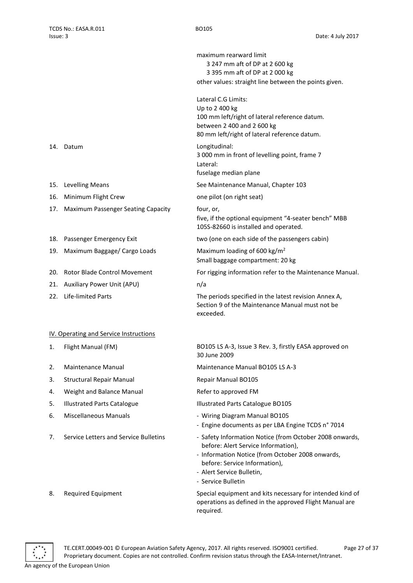maximum rearward limit 3 247 mm aft of DP at 2 600 kg 3 395 mm aft of DP at 2 000 kg other values: straight line between the points given. Lateral C.G Limits: Up to 2 400 kg 100 mm left/right of lateral reference datum. between 2 400 and 2 600 kg 80 mm left/right of lateral reference datum. 14. Datum Longitudinal: 3 000 mm in front of levelling point, frame 7 Lateral: fuselage median plane 15. Levelling Means See Maintenance Manual, Chapter 103 16. Minimum Flight Crew one pilot (on right seat) five, if the optional equipment "4-seater bench" MBB 105S-82660 is installed and operated. 18. Passenger Emergency Exit two (one on each side of the passengers cabin) 19. Maximum Baggage/ Cargo Loads Maximum loading of 600 kg/m<sup>2</sup> Small baggage compartment: 20 kg 20. Rotor Blade Control Movement For rigging information refer to the Maintenance Manual. 22. Life-limited Parts The periods specified in the latest revision Annex A, Section 9 of the Maintenance Manual must not be exceeded. 1. Flight Manual (FM) BO105 LS A-3, Issue 3 Rev. 3, firstly EASA approved on 30 June 2009 2. Maintenance Manual Maintenance Manual BO105 LS A-3 5. Illustrated Parts Catalogue **Illustrated Parts Catalogue BO105** 

- 6. Miscellaneous Manuals Wiring Diagram Manual BO105
	- Engine documents as per LBA Engine TCDS n° 7014
- 7. Service Letters and Service Bulletins Safety Information Notice (from October 2008 onwards, before: Alert Service Information),
	- Information Notice (from October 2008 onwards, before: Service Information),
	- Alert Service Bulletin,
	- Service Bulletin

8. Required Equipment Special equipment and kits necessary for intended kind of operations as defined in the approved Flight Manual are required.



- 
- 
- 17. Maximum Passenger Seating Capacity four, or,
- 
- 
- 
- 21. Auxiliary Power Unit (APU) m/a
- 

## <span id="page-26-0"></span>IV. Operating and Service Instructions

- 
- 
- 3. Structural Repair Manual Repair Manual BO105
- 4. Weight and Balance Manual **Refer to approved FM**
- 
- 
- 



An agency of the European Union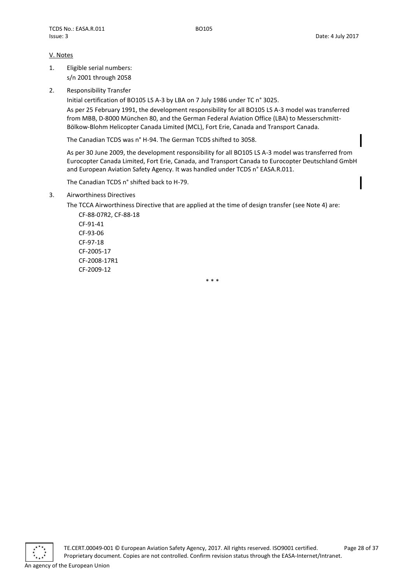## <span id="page-27-0"></span>V. Notes

- 1. Eligible serial numbers: s/n 2001 through 2058
- 2. Responsibility Transfer

Initial certification of BO105 LS A-3 by LBA on 7 July 1986 under TC n° 3025.

As per 25 February 1991, the development responsibility for all BO105 LS A-3 model was transferred from MBB, D-8000 München 80, and the German Federal Aviation Office (LBA) to Messerschmitt-Bölkow-Blohm Helicopter Canada Limited (MCL), Fort Erie, Canada and Transport Canada.

The Canadian TCDS was n° H-94. The German TCDS shifted to 3058.

As per 30 June 2009, the development responsibility for all BO105 LS A-3 model was transferred from Eurocopter Canada Limited, Fort Erie, Canada, and Transport Canada to Eurocopter Deutschland GmbH and European Aviation Safety Agency. It was handled under TCDS n° EASA.R.011.

The Canadian TCDS n° shifted back to H-79.

3. Airworthiness Directives

The TCCA Airworthiness Directive that are applied at the time of design transfer (see Note 4) are:

CF-88-07R2, CF-88-18 CF-91-41 CF-93-06 CF-97-18 CF-2005-17 CF-2008-17R1 CF-2009-12

\* \* \*

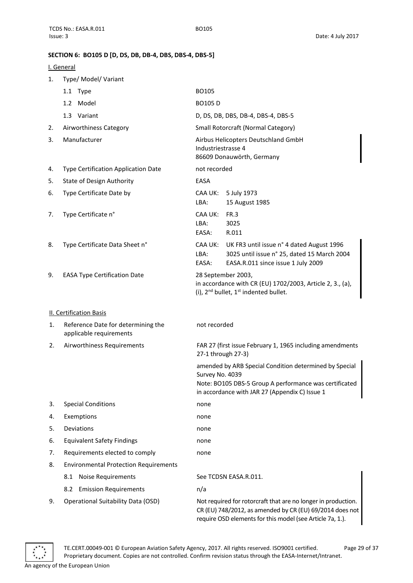## <span id="page-28-0"></span>**SECTION 6: BO105 D [D, DS, DB, DB-4, DBS, DBS-4, DBS-5]**

## <span id="page-28-1"></span>I. General

| 1. | Type/ Model/ Variant                                          |                                                                                                                                                            |  |  |
|----|---------------------------------------------------------------|------------------------------------------------------------------------------------------------------------------------------------------------------------|--|--|
|    | 1.1 Type                                                      | BO105                                                                                                                                                      |  |  |
|    | 1.2 Model                                                     | <b>BO105D</b>                                                                                                                                              |  |  |
|    | 1.3 Variant                                                   | D, DS, DB, DBS, DB-4, DBS-4, DBS-5                                                                                                                         |  |  |
| 2. | Airworthiness Category                                        | Small Rotorcraft (Normal Category)                                                                                                                         |  |  |
| 3. | Manufacturer                                                  | Airbus Helicopters Deutschland GmbH<br>Industriestrasse 4<br>86609 Donauwörth, Germany                                                                     |  |  |
| 4. | Type Certification Application Date                           | not recorded                                                                                                                                               |  |  |
| 5. | State of Design Authority                                     | EASA                                                                                                                                                       |  |  |
| 6. | Type Certificate Date by                                      | CAA UK:<br>5 July 1973<br>15 August 1985<br>LBA:                                                                                                           |  |  |
| 7. | Type Certificate n°                                           | CAA UK:<br>FR.3<br>LBA:<br>3025<br>R.011<br>EASA:                                                                                                          |  |  |
| 8. | Type Certificate Data Sheet n°                                | UK FR3 until issue n° 4 dated August 1996<br>CAA UK:<br>3025 until issue n° 25, dated 15 March 2004<br>LBA:<br>EASA.R.011 since issue 1 July 2009<br>EASA: |  |  |
| 9. | <b>EASA Type Certification Date</b>                           | 28 September 2003,<br>in accordance with CR (EU) 1702/2003, Article 2, 3., (a),<br>(i), 2 <sup>nd</sup> bullet, 1 <sup>st</sup> indented bullet.           |  |  |
|    | <b>II. Certification Basis</b>                                |                                                                                                                                                            |  |  |
| 1. | Reference Date for determining the<br>applicable requirements | not recorded                                                                                                                                               |  |  |
| 2. | Airworthiness Requirements                                    | FAR 27 (first issue February 1, 1965 including amendments<br>27-1 through 27-3)                                                                            |  |  |
|    |                                                               | amended by ARB Special Condition determined by Special<br>Survey No. 4039<br>Note: BO105 DBS-5 Group A performance was certificated                        |  |  |
|    |                                                               | in accordance with JAR 27 (Appendix C) Issue 1                                                                                                             |  |  |
| 3. | <b>Special Conditions</b>                                     | none                                                                                                                                                       |  |  |
| 4. | Exemptions                                                    | none                                                                                                                                                       |  |  |
| 5. | Deviations                                                    | none                                                                                                                                                       |  |  |
| 6. | <b>Equivalent Safety Findings</b>                             | none                                                                                                                                                       |  |  |
| 7. | Requirements elected to comply                                | none                                                                                                                                                       |  |  |
| 8. | <b>Environmental Protection Requirements</b>                  |                                                                                                                                                            |  |  |
|    | <b>Noise Requirements</b><br>8.1                              | See TCDSN EASA.R.011.                                                                                                                                      |  |  |
|    | 8.2 Emission Requirements                                     | n/a                                                                                                                                                        |  |  |
| 9. | <b>Operational Suitability Data (OSD)</b>                     | Not required for rotorcraft that are no longer in production.                                                                                              |  |  |

CR (EU) 748/2012, as amended by CR (EU) 69/2014 does not require OSD elements for this model (see Article 7a, 1.).

<span id="page-28-2"></span>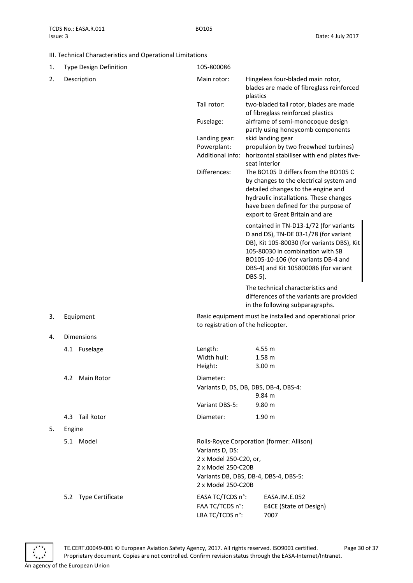## <span id="page-29-0"></span>III. Technical Characteristics and Operational Limitations

| 1. | Type Design Definition | 105-800086                                                                            |                                                                                                                                                                                                                                                              |  |  |
|----|------------------------|---------------------------------------------------------------------------------------|--------------------------------------------------------------------------------------------------------------------------------------------------------------------------------------------------------------------------------------------------------------|--|--|
| 2. | Description            | Main rotor:                                                                           | Hingeless four-bladed main rotor,<br>blades are made of fibreglass reinforced<br>plastics                                                                                                                                                                    |  |  |
|    |                        | Tail rotor:                                                                           | two-bladed tail rotor, blades are made<br>of fibreglass reinforced plastics                                                                                                                                                                                  |  |  |
|    |                        | Fuselage:                                                                             | airframe of semi-monocoque design<br>partly using honeycomb components                                                                                                                                                                                       |  |  |
|    |                        | Landing gear:<br>Powerplant:<br>Additional info:                                      | skid landing gear<br>propulsion by two freewheel turbines)<br>horizontal stabiliser with end plates five-<br>seat interior                                                                                                                                   |  |  |
|    |                        | Differences:                                                                          | The BO105 D differs from the BO105 C<br>by changes to the electrical system and<br>detailed changes to the engine and<br>hydraulic installations. These changes<br>have been defined for the purpose of<br>export to Great Britain and are                   |  |  |
|    |                        |                                                                                       | contained in TN-D13-1/72 (for variants<br>D and DS), TN-DE 03-1/78 (for variant<br>DB), Kit 105-80030 (for variants DBS), Kit<br>105-80030 in combination with SB<br>BO105-10-106 (for variants DB-4 and<br>DBS-4) and Kit 105800086 (for variant<br>DBS-5). |  |  |
|    |                        |                                                                                       | The technical characteristics and<br>differences of the variants are provided<br>in the following subparagraphs.                                                                                                                                             |  |  |
| 3. | Equipment              |                                                                                       | Basic equipment must be installed and operational prior<br>to registration of the helicopter.                                                                                                                                                                |  |  |
| 4. | <b>Dimensions</b>      |                                                                                       |                                                                                                                                                                                                                                                              |  |  |
|    | 4.1 Fuselage           | Length:<br>Width hull:<br>Height:                                                     | 4.55 m<br>1.58 <sub>m</sub><br>3.00 <sub>m</sub>                                                                                                                                                                                                             |  |  |
|    | 4.2 Main Rotor         | Diameter:                                                                             |                                                                                                                                                                                                                                                              |  |  |
|    |                        |                                                                                       | Variants D, DS, DB, DBS, DB-4, DBS-4:<br>9.84 m                                                                                                                                                                                                              |  |  |
|    |                        | Variant DBS-5:                                                                        | 9.80 m                                                                                                                                                                                                                                                       |  |  |
|    | 4.3 Tail Rotor         | Diameter:                                                                             | 1.90 <sub>m</sub>                                                                                                                                                                                                                                            |  |  |
| 5. | Engine                 |                                                                                       |                                                                                                                                                                                                                                                              |  |  |
|    | 5.1 Model              | Variants D, DS:<br>2 x Model 250-C20, or,<br>2 x Model 250-C20B<br>2 x Model 250-C20B | Rolls-Royce Corporation (former: Allison)<br>Variants DB, DBS, DB-4, DBS-4, DBS-5:                                                                                                                                                                           |  |  |
|    | 5.2 Type Certificate   | EASA TC/TCDS n°:<br>FAA TC/TCDS n°:<br>LBA TC/TCDS n°:                                | EASA.IM.E.052<br>E4CE (State of Design)<br>7007                                                                                                                                                                                                              |  |  |

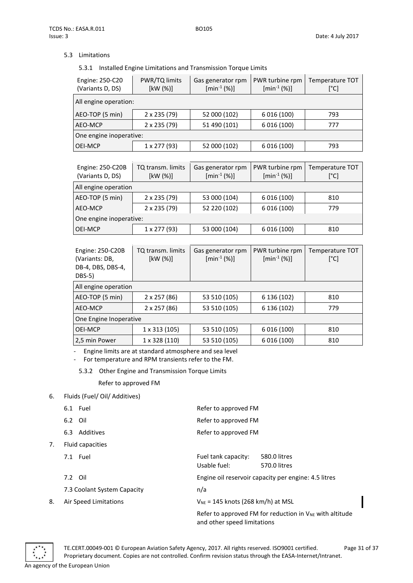## 5.3 Limitations

## 5.3.1 Installed Engine Limitations and Transmission Torque Limits

| Engine: 250-C20<br>(Variants D, DS) | PWR/TQ limits<br>[kW (%)] | Gas generator rpm<br>$[min^{-1}(%)]$ | PWR turbine rpm<br>$[min^{-1}(%)]$ | Temperature TOT<br>[°C] |  |
|-------------------------------------|---------------------------|--------------------------------------|------------------------------------|-------------------------|--|
| All engine operation:               |                           |                                      |                                    |                         |  |
| AEO-TOP (5 min)                     | $2 \times 235 (79)$       | 52 000 (102)                         | 6 016 (100)                        | 793                     |  |
| AEO-MCP                             | $2 \times 235 (79)$       | 51 490 (101)                         | 6 016 (100)                        | 777                     |  |
| One engine inoperative:             |                           |                                      |                                    |                         |  |
| OEI-MCP                             | $1 \times 277(93)$        | 52 000 (102)                         | 6 016 (100)                        | 793                     |  |

| Engine: 250-C20B<br>(Variants D, DS) | TQ transm. limits<br>[kW (%)] | Gas generator rpm<br>$[min^{-1}(%)]$ | PWR turbine rpm<br>$[min^{-1}(%)]$ | Temperature TOT<br>[°C] |
|--------------------------------------|-------------------------------|--------------------------------------|------------------------------------|-------------------------|
| All engine operation                 |                               |                                      |                                    |                         |
| AEO-TOP (5 min)                      | 2 x 235 (79)                  | 53 000 (104)                         | 6 016 (100)                        | 810                     |
| AEO-MCP                              | 2 x 235 (79)                  | 52 220 (102)                         | 6 016 (100)                        | 779                     |
| One engine inoperative:              |                               |                                      |                                    |                         |
| OEI-MCP                              | $1 \times 277(93)$            | 53 000 (104)                         | 6 016 (100)                        | 810                     |

| Engine: 250-C20B<br>(Variants: DB,<br>DB-4, DBS, DBS-4,<br>DBS-5) | TQ transm. limits<br>[kW (%)] | Gas generator rpm<br>$[min^{-1}(%)]$ | PWR turbine rpm<br>$[min^{-1}(%)]$ | <b>Temperature TOT</b><br>[°C] |
|-------------------------------------------------------------------|-------------------------------|--------------------------------------|------------------------------------|--------------------------------|
| All engine operation                                              |                               |                                      |                                    |                                |
| AEO-TOP (5 min)                                                   | 2 x 257 (86)                  | 53 510 (105)                         | 6 136 (102)                        | 810                            |
| AEO-MCP                                                           | $2 \times 257(86)$            | 53 510 (105)                         | 6 136 (102)                        | 779                            |
| One Engine Inoperative                                            |                               |                                      |                                    |                                |
| <b>OEI-MCP</b>                                                    | $1 \times 313(105)$           | 53 510 (105)                         | 6 016 (100)                        | 810                            |
| 2,5 min Power                                                     | 1 x 328 (110)                 | 53 510 (105)                         | 6 016 (100)                        | 810                            |

- Engine limits are at standard atmosphere and sea level

- For temperature and RPM transients refer to the FM.

5.3.2 Other Engine and Transmission Torque Limits

## Refer to approved FM

## 6. Fluids (Fuel/ Oil/ Additives)

|    | 6.1 Fuel                    | Refer to approved FM                                                                        |
|----|-----------------------------|---------------------------------------------------------------------------------------------|
|    | 6.2 Oil                     | Refer to approved FM                                                                        |
|    | 6.3 Additives               | Refer to approved FM                                                                        |
| 7. | Fluid capacities            |                                                                                             |
|    | 7.1 Fuel                    | Fuel tank capacity:<br>580.0 litres<br>Usable fuel:<br>570.0 litres                         |
|    | 7.2 Oil                     | Engine oil reservoir capacity per engine: 4.5 litres                                        |
|    | 7.3 Coolant System Capacity | n/a                                                                                         |
| 8. | Air Speed Limitations       | $V_{NE}$ = 145 knots (268 km/h) at MSL                                                      |
|    |                             | Refer to approved FM for reduction in $V_{NE}$ with altitude<br>and other speed limitations |

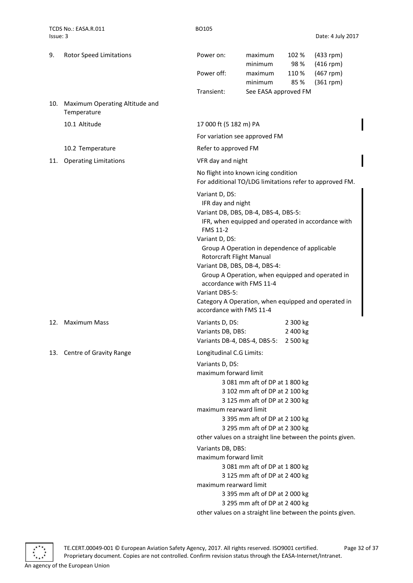| 9.  | <b>Rotor Speed Limitations</b>                | Power on:                                                                                                                                                                                                                                                                                                                                                                                                                                                          | maximum<br>minimum                                                                                                                                                                                                                                                                                             | 102 %<br>98%                     | $(433$ rpm)<br>$(416$ rpm)                                |
|-----|-----------------------------------------------|--------------------------------------------------------------------------------------------------------------------------------------------------------------------------------------------------------------------------------------------------------------------------------------------------------------------------------------------------------------------------------------------------------------------------------------------------------------------|----------------------------------------------------------------------------------------------------------------------------------------------------------------------------------------------------------------------------------------------------------------------------------------------------------------|----------------------------------|-----------------------------------------------------------|
|     |                                               | Power off:                                                                                                                                                                                                                                                                                                                                                                                                                                                         | maximum<br>minimum                                                                                                                                                                                                                                                                                             | 110 %<br>85%                     | $(467$ rpm)<br>$(361$ rpm)                                |
|     |                                               | Transient:                                                                                                                                                                                                                                                                                                                                                                                                                                                         | See EASA approved FM                                                                                                                                                                                                                                                                                           |                                  |                                                           |
| 10. | Maximum Operating Altitude and<br>Temperature |                                                                                                                                                                                                                                                                                                                                                                                                                                                                    |                                                                                                                                                                                                                                                                                                                |                                  |                                                           |
|     | 10.1 Altitude                                 | 17 000 ft (5 182 m) PA                                                                                                                                                                                                                                                                                                                                                                                                                                             |                                                                                                                                                                                                                                                                                                                |                                  |                                                           |
|     |                                               | For variation see approved FM                                                                                                                                                                                                                                                                                                                                                                                                                                      |                                                                                                                                                                                                                                                                                                                |                                  |                                                           |
|     | 10.2 Temperature                              | Refer to approved FM                                                                                                                                                                                                                                                                                                                                                                                                                                               |                                                                                                                                                                                                                                                                                                                |                                  |                                                           |
| 11. | <b>Operating Limitations</b>                  | VFR day and night                                                                                                                                                                                                                                                                                                                                                                                                                                                  |                                                                                                                                                                                                                                                                                                                |                                  |                                                           |
|     |                                               | No flight into known icing condition<br>For additional TO/LDG limitations refer to approved FM.                                                                                                                                                                                                                                                                                                                                                                    |                                                                                                                                                                                                                                                                                                                |                                  |                                                           |
|     |                                               | Variant D, DS:<br>IFR day and night<br>Variant DB, DBS, DB-4, DBS-4, DBS-5:<br>IFR, when equipped and operated in accordance with<br>FMS 11-2<br>Variant D, DS:<br>Group A Operation in dependence of applicable<br>Rotorcraft Flight Manual<br>Variant DB, DBS, DB-4, DBS-4:<br>Group A Operation, when equipped and operated in<br>accordance with FMS 11-4<br>Variant DBS-5:<br>Category A Operation, when equipped and operated in<br>accordance with FMS 11-4 |                                                                                                                                                                                                                                                                                                                |                                  |                                                           |
| 12. | <b>Maximum Mass</b>                           | Variants D, DS:<br>Variants DB, DBS:<br>Variants DB-4, DBS-4, DBS-5:                                                                                                                                                                                                                                                                                                                                                                                               |                                                                                                                                                                                                                                                                                                                | 2 300 kg<br>2 400 kg<br>2 500 kg |                                                           |
|     | 13. Centre of Gravity Range                   | Longitudinal C.G Limits:<br>Variants D, DS:<br>maximum forward limit<br>maximum rearward limit<br>other values on a straight line between the points given.<br>Variants DB, DBS:<br>maximum forward limit<br>maximum rearward limit                                                                                                                                                                                                                                | 3 081 mm aft of DP at 1 800 kg<br>3 102 mm aft of DP at 2 100 kg<br>3 125 mm aft of DP at 2 300 kg<br>3 395 mm aft of DP at 2 100 kg<br>3 295 mm aft of DP at 2 300 kg<br>3 081 mm aft of DP at 1 800 kg<br>3 125 mm aft of DP at 2 400 kg<br>3 395 mm aft of DP at 2 000 kg<br>3 295 mm aft of DP at 2 400 kg |                                  | other values on a straight line between the points given. |



TE.CERT.00049-001 © European Aviation Safety Agency, 2017. All rights reserved. ISO9001 certified. Page 32 of 37 Proprietary document. Copies are not controlled. Confirm revision status through the EASA-Internet/Intranet.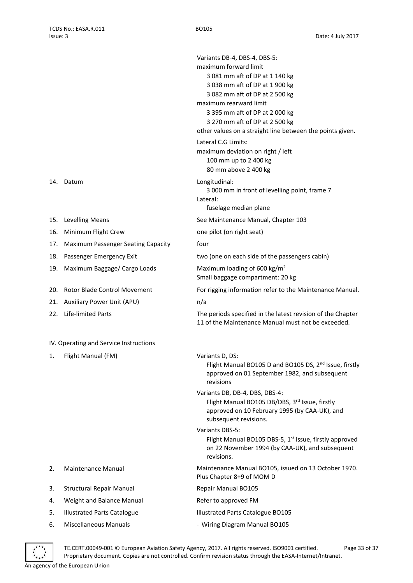Variants DB-4, DBS-4, DBS-5: maximum forward limit 3 081 mm aft of DP at 1 140 kg 3 038 mm aft of DP at 1 900 kg 3 082 mm aft of DP at 2 500 kg maximum rearward limit 3 395 mm aft of DP at 2 000 kg 3 270 mm aft of DP at 2 500 kg other values on a straight line between the points given. Lateral C.G Limits: maximum deviation on right / left 100 mm up to 2 400 kg 80 mm above 2 400 kg 14. Datum Longitudinal: 3 000 mm in front of levelling point, frame 7 Lateral: fuselage median plane 15. Levelling Means See Maintenance Manual, Chapter 103 16. Minimum Flight Crew one pilot (on right seat) 17. Maximum Passenger Seating Capacity four 18. Passenger Emergency Exit two (one on each side of the passengers cabin) 19. Maximum Baggage/ Cargo Loads Maximum loading of 600 kg/m<sup>2</sup> Small baggage compartment: 20 kg 20. Rotor Blade Control Movement For rigging information refer to the Maintenance Manual. 21. Auxiliary Power Unit (APU) m/a 22. Life-limited Parts The periods specified in the latest revision of the Chapter 11 of the Maintenance Manual must not be exceeded. IV. Operating and Service Instructions 1. Flight Manual (FM) Variants D, DS: Flight Manual BO105 D and BO105 DS, 2<sup>nd</sup> Issue, firstly approved on 01 September 1982, and subsequent revisions Variants DB, DB-4, DBS, DBS-4: Flight Manual BO105 DB/DBS, 3rd Issue, firstly approved on 10 February 1995 (by CAA-UK), and subsequent revisions. Variants DBS-5: Flight Manual BO105 DBS-5,  $1<sup>st</sup>$  Issue, firstly approved on 22 November 1994 (by CAA-UK), and subsequent revisions. 2. Maintenance Manual Maintenance Manual BO105, issued on 13 October 1970. Plus Chapter 8+9 of MOM D 3. Structural Repair Manual Repair Manual BO105 4. Weight and Balance Manual **Refer to approved FM** 5. Illustrated Parts Catalogue Illustrated Parts Catalogue BO105 6. Miscellaneous Manuals **6. Miscellaneous Manual BO105** 

<span id="page-32-0"></span>

TE.CERT.00049-001 © European Aviation Safety Agency, 2017. All rights reserved. ISO9001 certified. Page 33 of 37 Proprietary document. Copies are not controlled. Confirm revision status through the EASA-Internet/Intranet.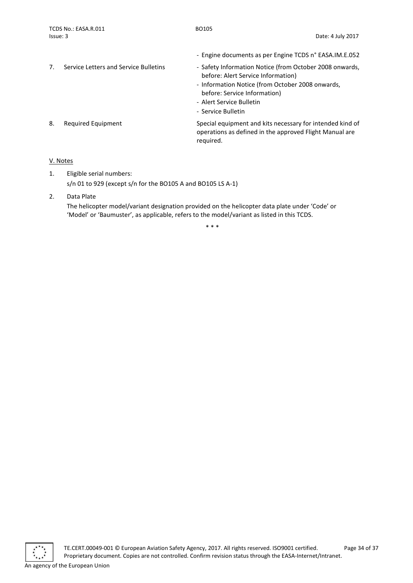|    |                                       | - Engine documents as per Engine TCDS n° EASA.IM.E.052                                                                            |
|----|---------------------------------------|-----------------------------------------------------------------------------------------------------------------------------------|
| 7. | Service Letters and Service Bulletins | - Safety Information Notice (from October 2008 onwards,<br>before: Alert Service Information)                                     |
|    |                                       | - Information Notice (from October 2008 onwards,<br>before: Service Information)<br>- Alert Service Bulletin                      |
|    |                                       | - Service Bulletin                                                                                                                |
| 8. | Required Equipment                    | Special equipment and kits necessary for intended kind of<br>operations as defined in the approved Flight Manual are<br>required. |

## <span id="page-33-0"></span>V. Notes

- 1. Eligible serial numbers: s/n 01 to 929 (except s/n for the BO105 A and BO105 LS A-1)
- 2. Data Plate

The helicopter model/variant designation provided on the helicopter data plate under 'Code' or 'Model' or 'Baumuster', as applicable, refers to the model/variant as listed in this TCDS.

\* \* \*

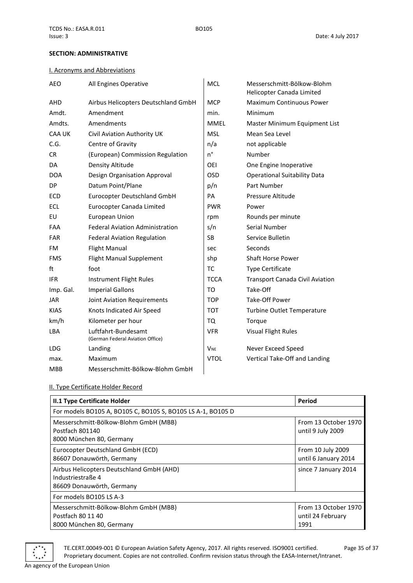## <span id="page-34-0"></span>**SECTION: ADMINISTRATIVE**

## <span id="page-34-1"></span>I. Acronyms and Abbreviations

| <b>AEO</b>    | All Engines Operative                                   | <b>MCL</b>            | Messerschmitt-Bölkow-Blohm<br>Helicopter Canada Limited |
|---------------|---------------------------------------------------------|-----------------------|---------------------------------------------------------|
| AHD           | Airbus Helicopters Deutschland GmbH                     | <b>MCP</b>            | <b>Maximum Continuous Power</b>                         |
| Amdt.         | Amendment                                               | min.                  | Minimum                                                 |
| Amdts.        | Amendments                                              | <b>MMEL</b>           | Master Minimum Equipment List                           |
| <b>CAA UK</b> | Civil Aviation Authority UK                             | <b>MSL</b>            | Mean Sea Level                                          |
| C.G.          | Centre of Gravity                                       | n/a                   | not applicable                                          |
| CR            | (European) Commission Regulation                        | n°                    | Number                                                  |
| DA            | Density Altitude                                        | OEI                   | One Engine Inoperative                                  |
| <b>DOA</b>    | Design Organisation Approval                            | <b>OSD</b>            | <b>Operational Suitability Data</b>                     |
| <b>DP</b>     | Datum Point/Plane                                       | p/n                   | Part Number                                             |
| <b>ECD</b>    | Eurocopter Deutschland GmbH                             | PA                    | Pressure Altitude                                       |
| <b>ECL</b>    | Eurocopter Canada Limited                               | <b>PWR</b>            | Power                                                   |
| EU            | <b>European Union</b>                                   | rpm                   | Rounds per minute                                       |
| <b>FAA</b>    | <b>Federal Aviation Administration</b>                  | s/n                   | Serial Number                                           |
| <b>FAR</b>    | <b>Federal Aviation Regulation</b>                      | <b>SB</b>             | Service Bulletin                                        |
| FM.           | <b>Flight Manual</b>                                    | sec                   | Seconds                                                 |
| <b>FMS</b>    | <b>Flight Manual Supplement</b>                         | shp                   | Shaft Horse Power                                       |
| ft            | foot                                                    | <b>TC</b>             | <b>Type Certificate</b>                                 |
| <b>IFR</b>    | Instrument Flight Rules                                 | <b>TCCA</b>           | <b>Transport Canada Civil Aviation</b>                  |
| Imp. Gal.     | <b>Imperial Gallons</b>                                 | TO                    | Take-Off                                                |
| <b>JAR</b>    | Joint Aviation Requirements                             | <b>TOP</b>            | Take-Off Power                                          |
| <b>KIAS</b>   | Knots Indicated Air Speed                               | <b>TOT</b>            | <b>Turbine Outlet Temperature</b>                       |
| km/h          | Kilometer per hour                                      | TQ                    | Torque                                                  |
| LBA           | Luftfahrt-Bundesamt<br>(German Federal Aviation Office) | <b>VFR</b>            | <b>Visual Flight Rules</b>                              |
| <b>LDG</b>    | Landing                                                 | <b>V<sub>NE</sub></b> | Never Exceed Speed                                      |
| max.          | Maximum                                                 | <b>VTOL</b>           | Vertical Take-Off and Landing                           |
| <b>MBB</b>    | Messerschmitt-Bölkow-Blohm GmbH                         |                       |                                                         |

## <span id="page-34-2"></span>II. Type Certificate Holder Record

| II.1 Type Certificate Holder                                                                | Period                                            |  |  |  |
|---------------------------------------------------------------------------------------------|---------------------------------------------------|--|--|--|
| For models BO105 A, BO105 C, BO105 S, BO105 LS A-1, BO105 D                                 |                                                   |  |  |  |
| Messerschmitt-Bölkow-Blohm GmbH (MBB)<br>Postfach 801140<br>8000 München 80, Germany        | From 13 October 1970<br>until 9 July 2009         |  |  |  |
| Eurocopter Deutschland GmbH (ECD)<br>86607 Donauwörth, Germany                              | From 10 July 2009<br>until 6 January 2014         |  |  |  |
| Airbus Helicopters Deutschland GmbH (AHD)<br>Industriestraße 4<br>86609 Donauwörth, Germany | since 7 January 2014                              |  |  |  |
| For models BO105 LS A-3                                                                     |                                                   |  |  |  |
| Messerschmitt-Bölkow-Blohm GmbH (MBB)<br>Postfach 80 11 40<br>8000 München 80, Germany      | From 13 October 1970<br>until 24 February<br>1991 |  |  |  |



TE.CERT.00049-001 © European Aviation Safety Agency, 2017. All rights reserved. ISO9001 certified. Page 35 of 37 Proprietary document. Copies are not controlled. Confirm revision status through the EASA-Internet/Intranet.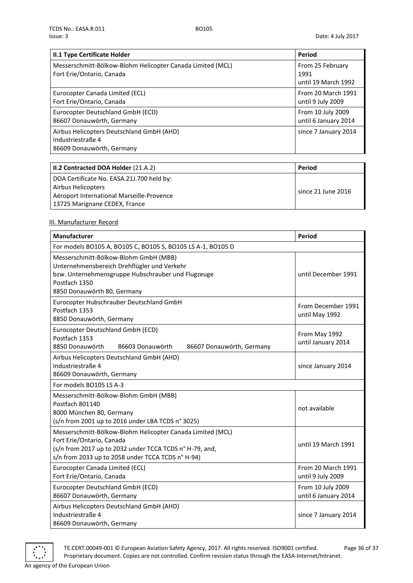| II.1 Type Certificate Holder                                                                | Period                                          |
|---------------------------------------------------------------------------------------------|-------------------------------------------------|
| Messerschmitt-Bölkow-Blohm Helicopter Canada Limited (MCL)<br>Fort Erie/Ontario, Canada     | From 25 February<br>1991<br>until 19 March 1992 |
| Eurocopter Canada Limited (ECL)<br>Fort Erie/Ontario, Canada                                | From 20 March 1991<br>until 9 July 2009         |
| Eurocopter Deutschland GmbH (ECD)<br>86607 Donauwörth, Germany                              | From 10 July 2009<br>until 6 January 2014       |
| Airbus Helicopters Deutschland GmbH (AHD)<br>Industriestraße 4<br>86609 Donauwörth, Germany | since 7 January 2014                            |

| II.2 Contracted DOA Holder (21.A.2)       | Period             |
|-------------------------------------------|--------------------|
| DOA Certificate No. EASA.21J.700 held by: |                    |
| Airbus Helicopters                        | since 21 June 2016 |
| Aéroport International Marseille-Provence |                    |
| 13725 Marignane CEDEX, France             |                    |

## <span id="page-35-0"></span>III. Manufacturer Record

| Manufacturer                                                                                                                                                                                            | Period                                    |  |  |  |
|---------------------------------------------------------------------------------------------------------------------------------------------------------------------------------------------------------|-------------------------------------------|--|--|--|
| For models BO105 A, BO105 C, BO105 S, BO105 LS A-1, BO105 D                                                                                                                                             |                                           |  |  |  |
| Messerschmitt-Bölkow-Blohm GmbH (MBB)<br>Unternehmensbereich Drehflügler und Verkehr<br>bzw. Unternehmensgruppe Hubschrauber und Flugzeuge<br>Postfach 1350<br>8850 Donauwörth 80, Germany              | until December 1991                       |  |  |  |
| Eurocopter Hubschrauber Deutschland GmbH<br>Postfach 1353<br>8850 Donauwörth, Germany                                                                                                                   | From December 1991<br>until May 1992      |  |  |  |
| Eurocopter Deutschland GmbH (ECD)<br>Postfach 1353<br>8850 Donauwörth<br>86603 Donauwörth<br>86607 Donauwörth, Germany                                                                                  | From May 1992<br>until January 2014       |  |  |  |
| Airbus Helicopters Deutschland GmbH (AHD)<br>Industriestraße 4<br>86609 Donauwörth, Germany                                                                                                             | since January 2014                        |  |  |  |
| For models BO105 LS A-3                                                                                                                                                                                 |                                           |  |  |  |
| Messerschmitt-Bölkow-Blohm GmbH (MBB)<br>Postfach 801140<br>8000 München 80, Germany<br>(s/n from 2001 up to 2016 under LBA TCDS n° 3025)                                                               | not available                             |  |  |  |
| Messerschmitt-Bölkow-Blohm Helicopter Canada Limited (MCL)<br>Fort Erie/Ontario, Canada<br>(s/n from 2017 up to 2032 under TCCA TCDS n° H-79, and,<br>s/n from 2033 up to 2058 under TCCA TCDS n° H-94) | until 19 March 1991                       |  |  |  |
| Eurocopter Canada Limited (ECL)<br>Fort Erie/Ontario, Canada                                                                                                                                            | From 20 March 1991<br>until 9 July 2009   |  |  |  |
| Eurocopter Deutschland GmbH (ECD)<br>86607 Donauwörth, Germany                                                                                                                                          | From 10 July 2009<br>until 6 January 2014 |  |  |  |
| Airbus Helicopters Deutschland GmbH (AHD)<br>Industriestraße 4<br>86609 Donauwörth, Germany                                                                                                             | since 7 January 2014                      |  |  |  |